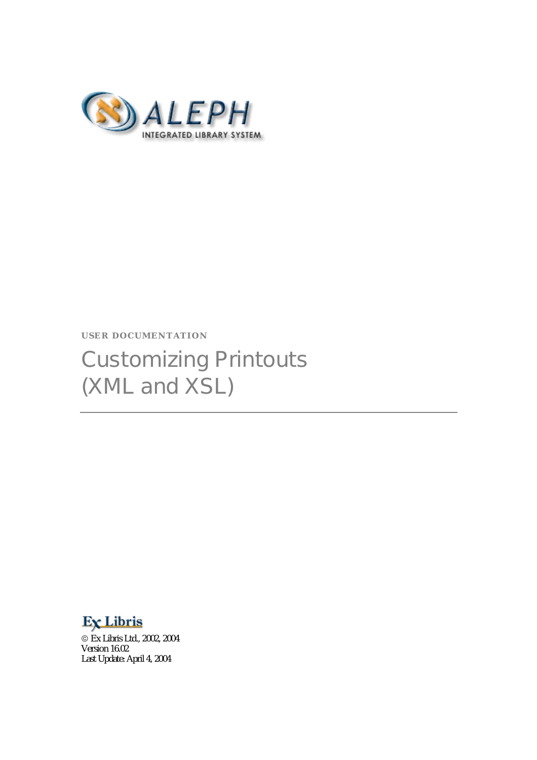

#### **USER DOCUMENTATION**

# Customizing Printouts (XML and XSL)

# Ex Libris

 Ex Libris Ltd., 2002, 2004 Version 16.02 Last Update: April 4, 2004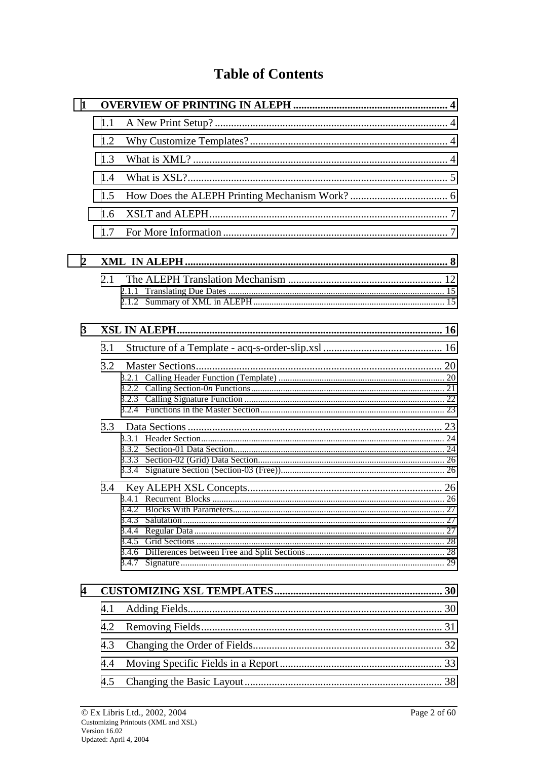# **Table of Contents**

| 1 |     |  |
|---|-----|--|
|   | 1.1 |  |
|   | 1.2 |  |
|   | 1.3 |  |
|   | 1.4 |  |
|   | 1.5 |  |
|   | 1.6 |  |
|   | 1.7 |  |
| 2 |     |  |
|   | 2.1 |  |
|   |     |  |
|   |     |  |
| 3 |     |  |
|   | 3.1 |  |
|   | 3.2 |  |
|   |     |  |
|   |     |  |
|   |     |  |
|   |     |  |
|   |     |  |
|   |     |  |
|   |     |  |
|   | 3.4 |  |
|   |     |  |
|   |     |  |
|   |     |  |
|   |     |  |
|   |     |  |
|   |     |  |
| 4 |     |  |
|   | 4.1 |  |
|   | 4.2 |  |
|   | 4.3 |  |
|   | 4.4 |  |
|   | 4.5 |  |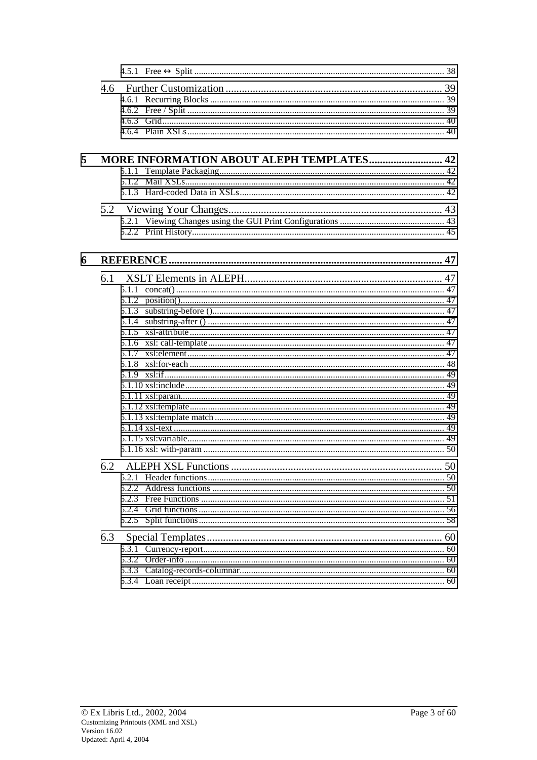| 5 |     | <b>MORE INFORMATION ABOUT ALEPH TEMPLATES 42</b> |    |
|---|-----|--------------------------------------------------|----|
|   |     |                                                  |    |
|   |     |                                                  |    |
|   |     |                                                  |    |
|   |     |                                                  |    |
|   |     |                                                  |    |
| 6 |     |                                                  |    |
|   | 6.1 |                                                  |    |
|   |     |                                                  |    |
|   |     |                                                  |    |
|   |     |                                                  |    |
|   |     |                                                  |    |
|   |     |                                                  |    |
|   |     |                                                  |    |
|   |     |                                                  |    |
|   |     |                                                  |    |
|   |     |                                                  |    |
|   |     |                                                  |    |
|   |     |                                                  |    |
|   |     |                                                  |    |
|   |     |                                                  |    |
|   |     |                                                  |    |
|   |     |                                                  |    |
|   |     | 6.2 ALEPH XSL Functions                          | 50 |
|   |     |                                                  |    |
|   |     |                                                  |    |
|   |     |                                                  |    |
|   |     |                                                  |    |
|   |     |                                                  |    |
|   |     |                                                  |    |
|   |     |                                                  |    |
|   |     |                                                  |    |
|   |     |                                                  |    |
|   |     |                                                  |    |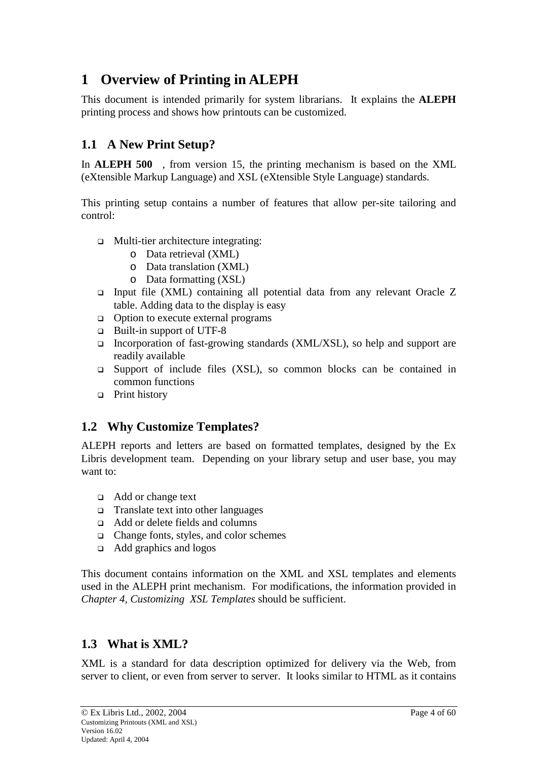# <span id="page-3-0"></span>**1 Overview of Printing in ALEPH**

This document is intended primarily for system librarians. It explains the **ALEPH** printing process and shows how printouts can be customized.

# **1.1 A New Print Setup?**

In **ALEPH 500<sup>TM</sup>**, from version 15, the printing mechanism is based on the XML (eXtensible Markup Language) and XSL (eXtensible Style Language) standards.

This printing setup contains a number of features that allow per-site tailoring and control:

- □ Multi-tier architecture integrating:
	- o Data retrieval (XML)
	- o Data translation (XML)
	- o Data formatting (XSL)
- $\Box$  Input file (XML) containing all potential data from any relevant Oracle Z table. Adding data to the display is easy
- $\Box$  Option to execute external programs
- Built-in support of UTF-8
- Incorporation of fast-growing standards  $(XML/XSL)$ , so help and support are readily available
- $\Box$  Support of include files (XSL), so common blocks can be contained in common functions
- □ Print history

# **1.2 Why Customize Templates?**

ALEPH reports and letters are based on formatted templates, designed by the Ex Libris development team. Depending on your library setup and user base, you may want to:

- Add or change text
- $\Box$  Translate text into other languages
- Add or delete fields and columns
- $\Box$  Change fonts, styles, and color schemes
- Add graphics and logos

This document contains information on the XML and XSL templates and elements used in the ALEPH print mechanism. For modifications, the information provided in *Chapter 4, Customizing XSL Templates* should be sufficient.

# **1.3 What is XML?**

XML is a standard for data description optimized for delivery via the Web, from server to client, or even from server to server. It looks similar to HTML as it contains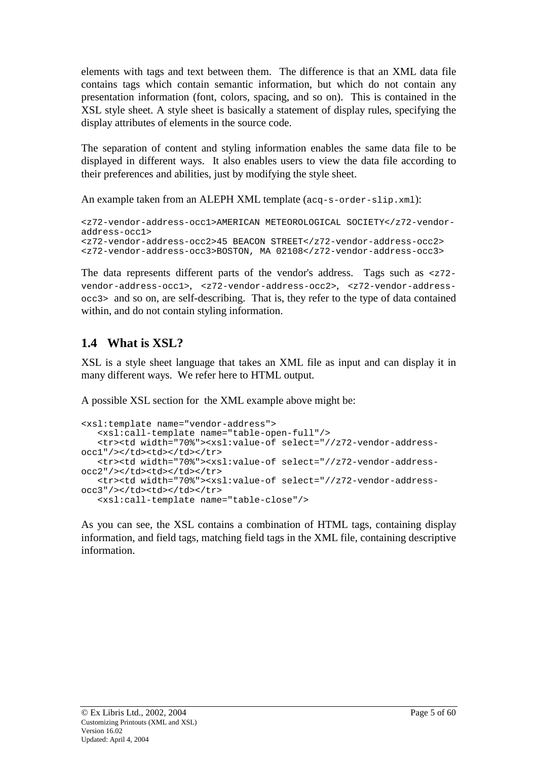<span id="page-4-0"></span>elements with tags and text between them. The difference is that an XML data file contains tags which contain semantic information, but which do not contain any presentation information (font, colors, spacing, and so on). This is contained in the XSL style sheet. A style sheet is basically a statement of display rules, specifying the display attributes of elements in the source code.

The separation of content and styling information enables the same data file to be displayed in different ways. It also enables users to view the data file according to their preferences and abilities, just by modifying the style sheet.

An example taken from an ALEPH XML template ( $acq-s-order-slip.xml$ ):

```
<z72-vendor-address-occ1>AMERICAN METEOROLOGICAL SOCIETY</z72-vendor-
address-occ1>
<z72-vendor-address-occ2>45 BEACON STREET</z72-vendor-address-occ2>
<z72-vendor-address-occ3>BOSTON, MA 02108</z72-vendor-address-occ3>
```
The data represents different parts of the vendor's address. Tags such as  $\langle z \rangle$  z=72vendor-address-occ1>, <z72-vendor-address-occ2>, <z72-vendor-addressocc3> and so on, are self-describing. That is, they refer to the type of data contained within, and do not contain styling information.

# **1.4 What is XSL?**

XSL is a style sheet language that takes an XML file as input and can display it in many different ways. We refer here to HTML output.

A possible XSL section for the XML example above might be:

```
<xsl:template name="vendor-address">
   <xsl:call-template name="table-open-full"/>
   <tr><td width="70%"><xsl:value-of select="//z72-vendor-address-
occ1"/></td><td></td></tr>
   <tr><td width="70%"><xsl:value-of select="//z72-vendor-address-
occ2"/></td><td></td></tr>
   <tr><td width="70%"><xsl:value-of select="//z72-vendor-address-
occ3"/></td><td></td></tr>
   <xsl:call-template name="table-close"/>
```
As you can see, the XSL contains a combination of HTML tags, containing display information, and field tags, matching field tags in the XML file, containing descriptive information.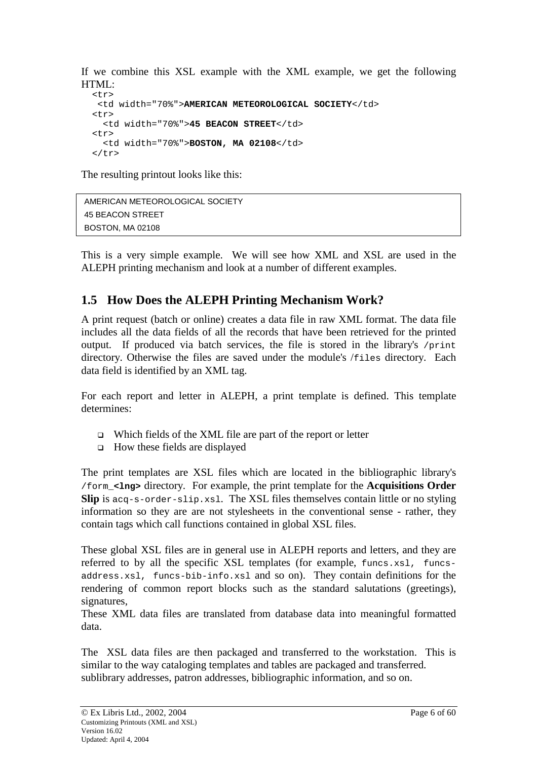<span id="page-5-0"></span>If we combine this XSL example with the XML example, we get the following HTML:

```
<tr>
 <td width="70%">AMERICAN METEOROLOGICAL SOCIETY</td>
<tr>
  <td width="70%">45 BEACON STREET</td>
<tr>
  <td width="70%">BOSTON, MA 02108</td>
\langle/tr>
```
The resulting printout looks like this:

```
AMERICAN METEOROLOGICAL SOCIETY 
45 BEACON STREET 
BOSTON, MA 02108
```
This is a very simple example. We will see how XML and XSL are used in the ALEPH printing mechanism and look at a number of different examples.

# **1.5 How Does the ALEPH Printing Mechanism Work?**

A print request (batch or online) creates a data file in raw XML format. The data file includes all the data fields of all the records that have been retrieved for the printed output. If produced via batch services, the file is stored in the library's /print directory. Otherwise the files are saved under the module's /files directory. Each data field is identified by an XML tag.

For each report and letter in ALEPH, a print template is defined. This template determines:

- Which fields of the XML file are part of the report or letter
- $\Box$  How these fields are displayed

The print templates are XSL files which are located in the bibliographic library's /form\_**<lng>** directory. For example, the print template for the **Acquisitions Order Slip** is acq-s-order-slip.xsl. The XSL files themselves contain little or no styling information so they are are not stylesheets in the conventional sense - rather, they contain tags which call functions contained in global XSL files.

These global XSL files are in general use in ALEPH reports and letters, and they are referred to by all the specific XSL templates (for example, funcs.xsl, funcsaddress.xsl, funcs-bib-info.xsl and so on). They contain definitions for the rendering of common report blocks such as the standard salutations (greetings), signatures.

These XML data files are translated from database data into meaningful formatted data.

The XSL data files are then packaged and transferred to the workstation. This is similar to the way cataloging templates and tables are packaged and transferred. sublibrary addresses, patron addresses, bibliographic information, and so on.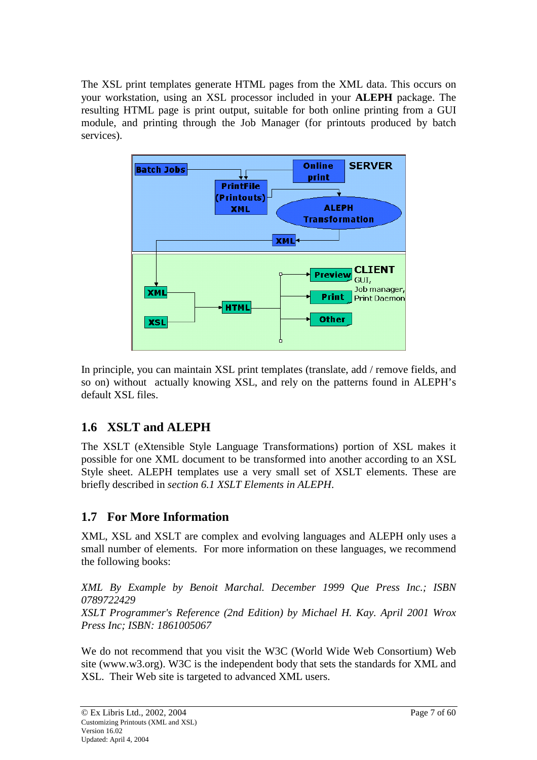<span id="page-6-0"></span>The XSL print templates generate HTML pages from the XML data. This occurs on your workstation, using an XSL processor included in your **ALEPH** package. The resulting HTML page is print output, suitable for both online printing from a GUI module, and printing through the Job Manager (for printouts produced by batch services).



In principle, you can maintain XSL print templates (translate, add / remove fields, and so on) without actually knowing XSL, and rely on the patterns found in ALEPH's default XSL files.

# **1.6 XSLT and ALEPH**

The XSLT (eXtensible Style Language Transformations) portion of XSL makes it possible for one XML document to be transformed into another according to an XSL Style sheet. ALEPH templates use a very small set of XSLT elements. These are briefly described in *section 6.1 XSLT Elements in ALEPH*.

# **1.7 For More Information**

XML, XSL and XSLT are complex and evolving languages and ALEPH only uses a small number of elements. For more information on these languages, we recommend the following books:

*XML By Example by Benoit Marchal. December 1999 Que Press Inc.; ISBN 0789722429 XSLT Programmer's Reference (2nd Edition) by Michael H. Kay. April 2001 Wrox Press Inc; ISBN: 1861005067* 

We do not recommend that you visit the W3C (World Wide Web Consortium) Web site (www.w3.org). W3C is the independent body that sets the standards for XML and XSL. Their Web site is targeted to advanced XML users.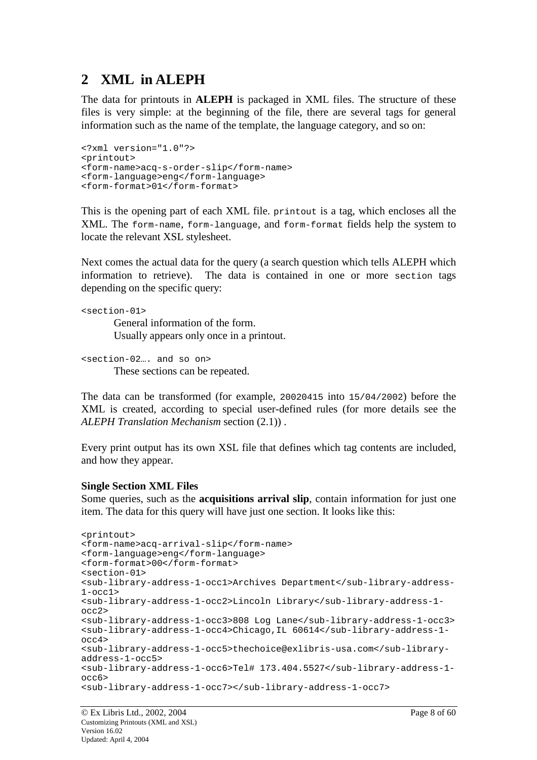# <span id="page-7-0"></span>**2 XML in ALEPH**

The data for printouts in **ALEPH** is packaged in XML files. The structure of these files is very simple: at the beginning of the file, there are several tags for general information such as the name of the template, the language category, and so on:

```
<?xml version="1.0"?>
<printout>
<form-name>acq-s-order-slip</form-name>
<form-language>eng</form-language>
<form-format>01</form-format>
```
This is the opening part of each XML file. printout is a tag, which encloses all the XML. The form-name, form-language, and form-format fields help the system to locate the relevant XSL stylesheet.

Next comes the actual data for the query (a search question which tells ALEPH which information to retrieve). The data is contained in one or more section tags depending on the specific query:

```
<section-01>
        General information of the form. 
        Usually appears only once in a printout.
```

```
<section-02…. and so on>
       These sections can be repeated.
```
The data can be transformed (for example, 20020415 into 15/04/2002) before the XML is created, according to special user-defined rules (for more details see the *ALEPH Translation Mechanism* section (2.1)) .

Every print output has its own XSL file that defines which tag contents are included, and how they appear.

#### **Single Section XML Files**

Some queries, such as the **acquisitions arrival slip**, contain information for just one item. The data for this query will have just one section. It looks like this:

```
<printout>
<form-name>acq-arrival-slip</form-name>
<form-language>eng</form-language>
<form-format>00</form-format>
<section-01>
<sub-library-address-1-occ1>Archives Department</sub-library-address-
1-occ1>
<sub-library-address-1-occ2>Lincoln Library</sub-library-address-1-
occ2>
<sub-library-address-1-occ3>808 Log Lane</sub-library-address-1-occ3>
<sub-library-address-1-occ4>Chicago,IL 60614</sub-library-address-1-
occ4>
<sub-library-address-1-occ5>thechoice@exlibris-usa.com</sub-library-
address-1-occ5>
<sub-library-address-1-occ6>Tel# 173.404.5527</sub-library-address-1-
occ6>
<sub-library-address-1-occ7></sub-library-address-1-occ7>
```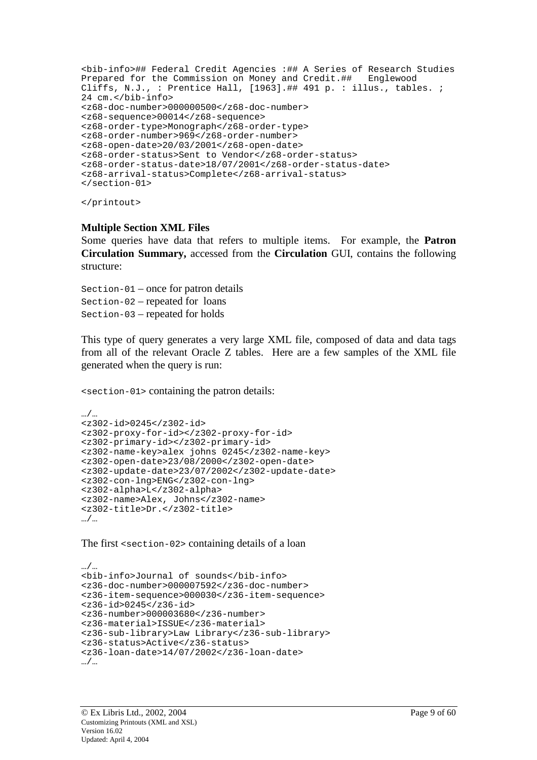```
<bib-info>## Federal Credit Agencies :## A Series of Research Studies
Prepared for the Commission on Money and Credit.## Englewood
Cliffs, N.J., : Prentice Hall, [1963].## 491 p. : illus., tables. ;
24 cm.</bib-info>
<z68-doc-number>000000500</z68-doc-number>
<z68-sequence>00014</z68-sequence>
<z68-order-type>Monograph</z68-order-type>
<z68-order-number>969</z68-order-number>
<z68-open-date>20/03/2001</z68-open-date>
<z68-order-status>Sent to Vendor</z68-order-status>
<z68-order-status-date>18/07/2001</z68-order-status-date>
<z68-arrival-status>Complete</z68-arrival-status>
</section-01>
```
</printout>

#### **Multiple Section XML Files**

Some queries have data that refers to multiple items. For example, the **Patron Circulation Summary,** accessed from the **Circulation** GUI, contains the following structure:

Section-01 – once for patron details Section-02 – repeated for loans Section-03 – repeated for holds

This type of query generates a very large XML file, composed of data and data tags from all of the relevant Oracle Z tables. Here are a few samples of the XML file generated when the query is run:

<section-01> containing the patron details:

```
…/…
<z302-id>0245</z302-id>
<z302-proxy-for-id></z302-proxy-for-id>
<z302-primary-id></z302-primary-id>
<z302-name-key>alex johns 0245</z302-name-key>
<z302-open-date>23/08/2000</z302-open-date>
<z302-update-date>23/07/2002</z302-update-date>
<z302-con-lng>ENG</z302-con-lng>
<z302-alpha>L</z302-alpha>
<z302-name>Alex, Johns</z302-name>
<z302-title>Dr.</z302-title>
…/…
```
The first <section-02> containing details of a loan

```
…/…
<bib-info>Journal of sounds</bib-info>
<z36-doc-number>000007592</z36-doc-number>
<z36-item-sequence>000030</z36-item-sequence>
<z36-id>0245</z36-id>
<z36-number>000003680</z36-number>
<z36-material>ISSUE</z36-material>
<z36-sub-library>Law Library</z36-sub-library>
<z36-status>Active</z36-status>
<z36-loan-date>14/07/2002</z36-loan-date>
…/…
```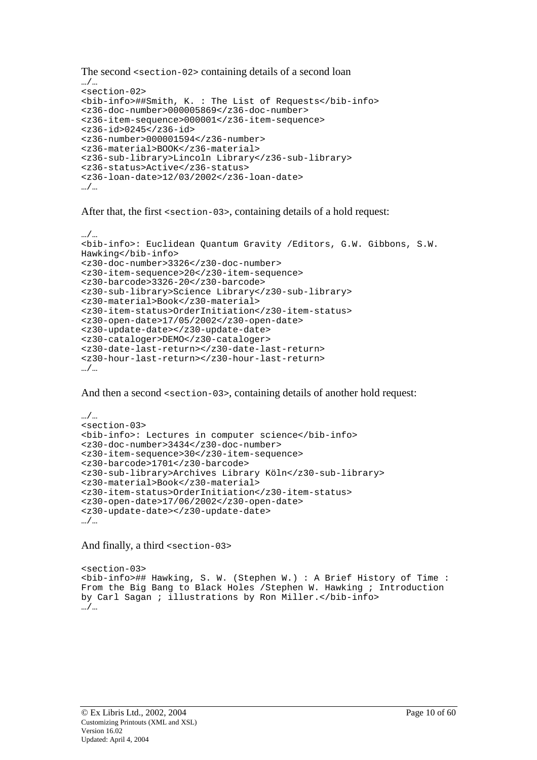```
The second <section-02> containing details of a second loan 
…/…
<section-02>
<bib-info>##Smith, K. : The List of Requests</bib-info>
<z36-doc-number>000005869</z36-doc-number>
<z36-item-sequence>000001</z36-item-sequence>
<z36-id>0245</z36-id>
<z36-number>000001594</z36-number>
<z36-material>BOOK</z36-material>
<z36-sub-library>Lincoln Library</z36-sub-library>
<z36-status>Active</z36-status>
<z36-loan-date>12/03/2002</z36-loan-date>
…/…
```
After that, the first <section-03>, containing details of a hold request:

```
…/…
<bib-info>: Euclidean Quantum Gravity /Editors, G.W. Gibbons, S.W.
Hawking</bib-info>
<z30-doc-number>3326</z30-doc-number>
<z30-item-sequence>20</z30-item-sequence>
<z30-barcode>3326-20</z30-barcode>
<z30-sub-library>Science Library</z30-sub-library>
<z30-material>Book</z30-material>
<z30-item-status>OrderInitiation</z30-item-status>
<z30-open-date>17/05/2002</z30-open-date>
<z30-update-date></z30-update-date>
<z30-cataloger>DEMO</z30-cataloger>
<z30-date-last-return></z30-date-last-return>
<z30-hour-last-return></z30-hour-last-return>
…/…
```
And then a second  $\leq$  section-03>, containing details of another hold request:

```
…/…
<section-03>
<bib-info>: Lectures in computer science</bib-info>
<z30-doc-number>3434</z30-doc-number>
<z30-item-sequence>30</z30-item-sequence>
<z30-barcode>1701</z30-barcode>
<z30-sub-library>Archives Library Köln</z30-sub-library>
<z30-material>Book</z30-material>
<z30-item-status>OrderInitiation</z30-item-status>
<z30-open-date>17/06/2002</z30-open-date>
<z30-update-date></z30-update-date>
…/…
```
And finally, a third <section-03>

<section-03> <bib-info>## Hawking, S. W. (Stephen W.) : A Brief History of Time : From the Big Bang to Black Holes /Stephen W. Hawking ; Introduction by Carl Sagan ; illustrations by Ron Miller.</bib-info> …/…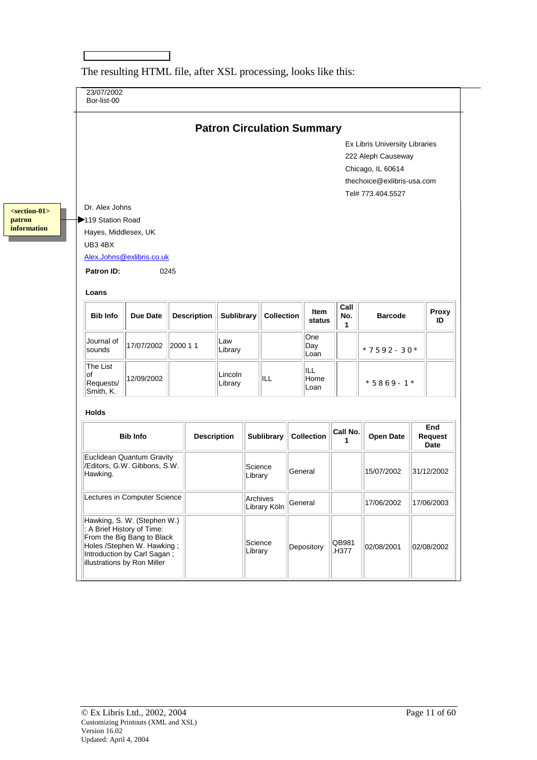23/07/2002 Bor-list-00 **Patron Circulation Summary** Ex Libris University Libraries 222 Aleph Causeway Chicago, IL 60614 thechoice@exlibris-usa.com Tel# 773.404.5527 Dr. Alex Johns 119 Station Road Hayes, Middlesex, UK UB3 4BX Alex.Johns@exlibris.co.uk **Patron ID:** 0245 **Loans Bib Info** Due Date Description Sublibrary Collection **Litem status Call No. 1 Barcode Proxy ID**  Journal of<br>sounds 17/07/2002 2000 1 1 Law Library **One** Day  $\begin{array}{|c|c|c|}\n$ Loan  $\begin{array}{|c|c|c|}\n \end{array}$  \* 7592-30\* The List of Requests/ Smith, K. 12/09/2002 Lincoln |Lincoln<br>|Library ||ILL ILL Home  $\begin{array}{|c|c|c|}\n \hline \text{Loan} & & \end{array}$   $\begin{array}{|c|c|c|c|}\n \hline\n * 5869 - 1 * & \end{array}$ **Holds Bib Info Description Sublibrary Collection**  $\begin{bmatrix} \mathsf{Call\ No.} \\ \mathsf{1} \end{bmatrix}$ **<sup>1</sup>Open Date End Request Date**  Euclidean Quantum Gravity /Editors, G.W. Gibbons, S.W. Hawking. Science |Science ||<br>|Library ||General || ||15/07/2002 ||31/12/2002 Lectures in Computer Science | Archives |Archives<br>|Library Köln General || 17/06/2002 || 17/06/2003 Hawking, S. W. (Stephen W.) : A Brief History of Time: From the Big Bang to Black Holes /Stephen W. Hawking ; Introduction by Carl Sagan ; illustrations by Ron Miller Science<br>Library Depository  $\left\|\begin{array}{cc} \text{QB}981 \\ \text{H}377 \end{array}\right\|$ 02/08/2001 02/08/2002 **<section-01> patron information** 

The resulting HTML file, after XSL processing, looks like this: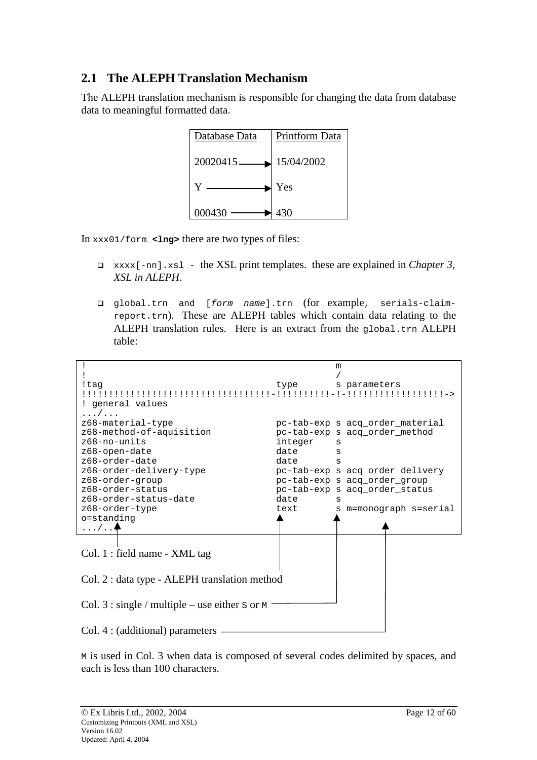# <span id="page-11-0"></span>**2.1 The ALEPH Translation Mechanism**

The ALEPH translation mechanism is responsible for changing the data from database data to meaningful formatted data.



In xxx01/form\_**<lng>** there are two types of files:

- xxxx[-nn].xsl the XSL print templates. these are explained in *Chapter 3, XSL in ALEPH*.
- global.trn and [form name].trn (for example, serials-claimreport.trn). These are ALEPH tables which contain data relating to the ALEPH translation rules. Here is an extract from the global.trn ALEPH table:

|                                                          |         | m                               |
|----------------------------------------------------------|---------|---------------------------------|
|                                                          |         |                                 |
| !taq                                                     | type    | s parameters                    |
|                                                          |         |                                 |
| ! general values                                         |         |                                 |
| . /                                                      |         |                                 |
| z68-material-type                                        |         | pc-tab-exp s acq_order_material |
| z68-method-of-aquisition                                 |         | pc-tab-exp s acq_order_method   |
| $z68 - no$ -units                                        | integer | S                               |
| z68-open-date                                            | date    | S                               |
| z68-order-date                                           | date    | S                               |
| z68-order-delivery-type                                  |         | pc-tab-exp s acq order delivery |
| z68-order-group                                          |         | pc-tab-exp s acq_order_group    |
| z68-order-status                                         |         | pc-tab-exp s acq_order_status   |
| z68-order-status-date                                    | date    | s                               |
| z68-order-type                                           | text    | s m=monograph s=serial          |
| o=standing                                               |         |                                 |
| $\ldots / \ldots$                                        |         |                                 |
|                                                          |         |                                 |
|                                                          |         |                                 |
| Col. 1 : field name - XML tag                            |         |                                 |
|                                                          |         |                                 |
| Col. 2 : data type - ALEPH translation method            |         |                                 |
|                                                          |         |                                 |
|                                                          |         |                                 |
| Col. $3:$ single / multiple – use either s or $\text{M}$ |         |                                 |
|                                                          |         |                                 |
|                                                          |         |                                 |
| Col. 4 : (additional) parameters                         |         |                                 |

M is used in Col. 3 when data is composed of several codes delimited by spaces, and each is less than 100 characters.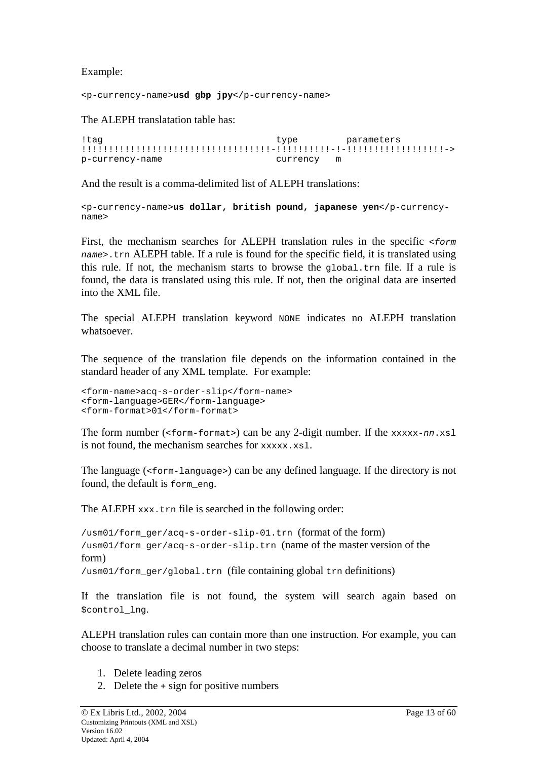Example:

<p-currency-name>**usd gbp jpy**</p-currency-name>

The ALEPH translatation table has:

```
!tag type parameters
!!!!!!!!!!!!!!!!!!!!!!!!!!!!!!!!!!!-!!!!!!!!!!-!-!!!!!!!!!!!!!!!!!!->
p-currency-name currency m
```
And the result is a comma-delimited list of ALEPH translations:

<p-currency-name>**us dollar, british pound, japanese yen**</p-currencyname>

First, the mechanism searches for ALEPH translation rules in the specific <form name>.trn ALEPH table. If a rule is found for the specific field, it is translated using this rule. If not, the mechanism starts to browse the global.trn file. If a rule is found, the data is translated using this rule. If not, then the original data are inserted into the XML file.

The special ALEPH translation keyword NONE indicates no ALEPH translation whatsoever.

The sequence of the translation file depends on the information contained in the standard header of any XML template. For example:

```
<form-name>acq-s-order-slip</form-name>
<form-language>GER</form-language>
<form-format>01</form-format>
```
The form number ( $\epsilon$ form-format>) can be any 2-digit number. If the  $xxxxx-nn xs1$ is not found, the mechanism searches for  $xxxxxx.xs1$ .

The language  $(\text{form-language})$  can be any defined language. If the directory is not found, the default is form\_eng.

The ALEPH xxx.trn file is searched in the following order:

/usm01/form\_ger/acq-s-order-slip-01.trn (format of the form) /usm01/form\_ger/acq-s-order-slip.trn (name of the master version of the form) /usm01/form\_ger/global.trn (file containing global trn definitions)

If the translation file is not found, the system will search again based on \$control lng.

ALEPH translation rules can contain more than one instruction. For example, you can choose to translate a decimal number in two steps:

- 1. Delete leading zeros
- 2. Delete the + sign for positive numbers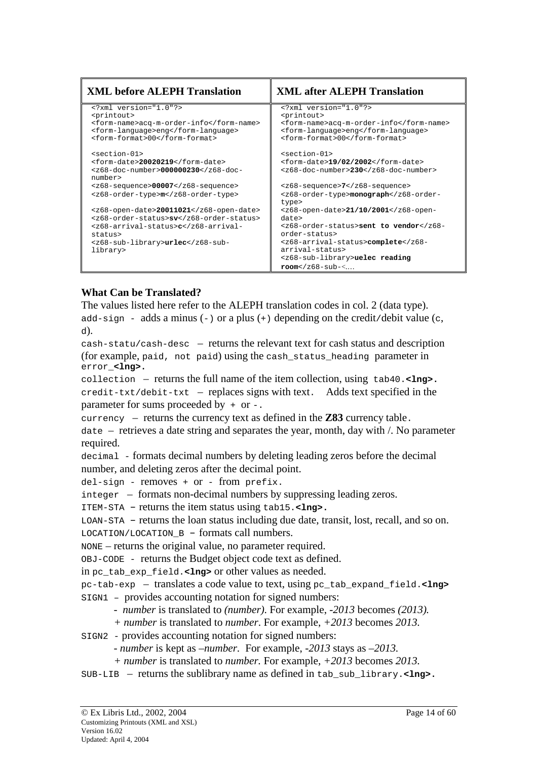| <b>XML before ALEPH Translation</b>                                                                | <b>XML after ALEPH Translation</b>                                  |
|----------------------------------------------------------------------------------------------------|---------------------------------------------------------------------|
| xml version="1.0"?                                                                                 | xml version="1.0"?                                                  |
| <printout><br/><form-name>acq-m-order-info</form-name></printout>                                  | <printout><br/><form-name>acq-m-order-info</form-name></printout>   |
| <form-language>eng</form-language>                                                                 | <form-language>eng</form-language>                                  |
| <form-format>00</form-format>                                                                      | <form-format>00</form-format>                                       |
| <section-01></section-01>                                                                          | <section-01></section-01>                                           |
| <form-date>20020219</form-date>                                                                    | <form-date>19/02/2002</form-date>                                   |
| <z68-doc-number>000000230number&gt;</z68-doc-number>                                               | <z68-doc-number>230</z68-doc-number>                                |
| <z68-sequence>00007</z68-sequence>                                                                 | <z68-sequence>7</z68-sequence>                                      |
| <z68-order-type>m</z68-order-type>                                                                 | <z68-order-type>monographtype&gt;</z68-order-type>                  |
| <z68-open-date>20011021</z68-open-date>                                                            | <z68-open-date>21/10/2001</z68-open-date>                           |
| <z68-order-status>sv</z68-order-status>                                                            | date>                                                               |
| <z68-arrival-status>cstatus&gt;</z68-arrival-status>                                               | <z68-order-status>sent to vendororder-status&gt;</z68-order-status> |
| <z68-sub-library>urlec<td><z68-arrival-status>complete</z68-arrival-status></td></z68-sub-library> | <z68-arrival-status>complete</z68-arrival-status>                   |
| library>                                                                                           | arrival-status>                                                     |
|                                                                                                    | <z68-sub-library>uelec reading</z68-sub-library>                    |
|                                                                                                    | $\texttt{room}$ < 268 - \text{sub} <                                |

### **What Can be Translated?**

The values listed here refer to the ALEPH translation codes in col. 2 (data type). add-sign - adds a minus (-) or a plus (+) depending on the credit/debit value (c, d).

cash-statu/cash-desc - returns the relevant text for cash status and description (for example, paid, not paid) using the cash\_status\_heading parameter in error\_**<lng>.**

collection – returns the full name of the item collection, using  $\text{tab40.}<\text{Ing}>$ . credit-txt/debit-txt – replaces signs with text. Adds text specified in the parameter for sums proceeded by + or -.

currency  $-$  returns the currency text as defined in the  $Z83$  currency table.

 $\alpha$  date – retrieves a date string and separates the year, month, day with  $\alpha$ . No parameter required.

decimal - formats decimal numbers by deleting leading zeros before the decimal number, and deleting zeros after the decimal point.

del-sign - removes + or - from prefix.

 $integer$  – formats non-decimal numbers by suppressing leading zeros.

ITEM-STA – returns the item status using tab15.**<lng>.**

LOAN-STA – returns the loan status including due date, transit, lost, recall, and so on.  $\text{LOCATION/LOCATION } B - \text{formats call numbers.}$ 

NONE – returns the original value, no parameter required.

OBJ-CODE - returns the Budget object code text as defined.

in pc\_tab\_exp\_field.**<lng>** or other values as needed.

pc-tab-exp – translates a code value to text, using pc\_tab\_expand\_field.<Ing> SIGN1 – provides accounting notation for signed numbers:

*- number* is translated to *(number)*. For example, *-2013* becomes *(2013).*

*+ number* is translated to *number*. For example, *+2013* becomes *2013.*

SIGN2 - provides accounting notation for signed numbers:

*- number* is kept as *–number.* For example, *-2013* stays as *–2013.*

*+ number* is translated to *number.* For example, *+2013* becomes *2013.*

 $SUB-LIB$  – returns the sublibrary name as defined in  $tab\_sub\_library. Ing$ .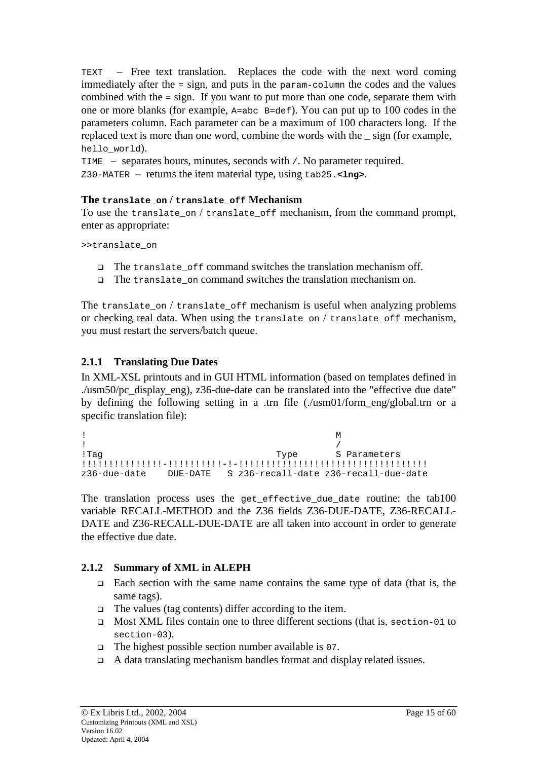<span id="page-14-0"></span> $TEXT$  – Free text translation. Replaces the code with the next word coming immediately after the = sign, and puts in the param-column the codes and the values combined with the = sign. If you want to put more than one code, separate them with one or more blanks (for example, A=abc B=def). You can put up to 100 codes in the parameters column. Each parameter can be a maximum of 100 characters long. If the replaced text is more than one word, combine the words with the \_ sign (for example, hello\_world).

TIME – separates hours, minutes, seconds with  $/$ . No parameter required. Z30-MATER – returns the item material type, using tab25.**<lng>**.

### **The translate\_on / translate\_off Mechanism**

To use the translate on / translate of f mechanism, from the command prompt, enter as appropriate:

>>translate\_on

- The translate of f command switches the translation mechanism off.
- □ The translate on command switches the translation mechanism on.

The translate\_on / translate\_off mechanism is useful when analyzing problems or checking real data. When using the translate\_on / translate\_off mechanism, you must restart the servers/batch queue.

### **2.1.1 Translating Due Dates**

In XML-XSL printouts and in GUI HTML information (based on templates defined in ./usm50/pc\_display\_eng), z36-due-date can be translated into the "effective due date" by defining the following setting in a .trn file (./usm01/form\_eng/global.trn or a specific translation file):

```
! M
! /
!Tag Type S Parameters
!!!!!!!!!!!!!!!-!!!!!!!!!!-!-!!!!!!!!!!!!!!!!!!!!!!!!!!!!!!!!!!!
z36-due-date DUE-DATE S z36-recall-date z36-recall-due-date
```
The translation process uses the get effective due date routine: the  $t$ ab100 variable RECALL-METHOD and the Z36 fields Z36-DUE-DATE, Z36-RECALL-DATE and Z36-RECALL-DUE-DATE are all taken into account in order to generate the effective due date.

### **2.1.2 Summary of XML in ALEPH**

- $\Box$  Each section with the same name contains the same type of data (that is, the same tags).
- $\Box$  The values (tag contents) differ according to the item.
- Most XML files contain one to three different sections (that is, section-01 to section-03).
- $\Box$  The highest possible section number available is 07.
- $\Box$  A data translating mechanism handles format and display related issues.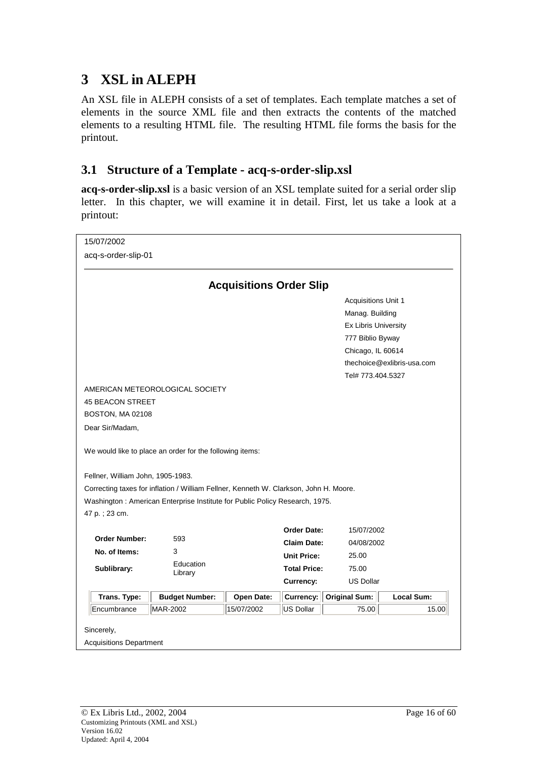# <span id="page-15-0"></span>**3 XSL in ALEPH**

An XSL file in ALEPH consists of a set of templates. Each template matches a set of elements in the source XML file and then extracts the contents of the matched elements to a resulting HTML file. The resulting HTML file forms the basis for the printout.

# **3.1 Structure of a Template - acq-s-order-slip.xsl**

**acq-s-order-slip.xsl** is a basic version of an XSL template suited for a serial order slip letter. In this chapter, we will examine it in detail. First, let us take a look at a printout:

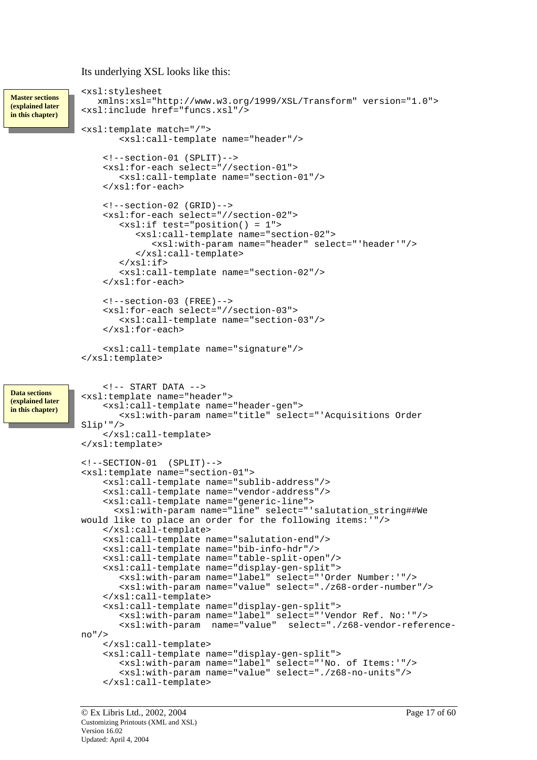#### Its underlying XSL looks like this:

```
<xsl:stylesheet
                 xmlns:xsl="http://www.w3.org/1999/XSL/Transform" version="1.0">
              <xsl:include href="funcs.xsl"/>
              <xsl:template match="/">
                     <xsl:call-template name="header"/>
                  <!--section-01 (SPLIT)-->
                  <xsl:for-each select="//section-01">
                     <xsl:call-template name="section-01"/>
                  </xsl:for-each>
                  \leq 1 - \text{section} - 02 (GRID) - \rightarrow<xsl:for-each select="//section-02">
                     <xsl:if test="position() = 1">
                        <xsl:call-template name="section-02">
                            <xsl:with-param name="header" select="'header'"/>
                        </xsl:call-template>
                     \langle xsl:if>
                     <xsl:call-template name="section-02"/>
                  </xsl:for-each>
                  <!--section-03 (FREE)-->
                  <xsl:for-each select="//section-03">
                     <xsl:call-template name="section-03"/>
                  </xsl:for-each>
                  <xsl:call-template name="signature"/>
              </xsl:template>
                  \leftarrow!-- START DATA -->
              <xsl:template name="header">
                  <xsl:call-template name="header-gen">
                     <xsl:with-param name="title" select="'Acquisitions Order
              Slip'"/>
                  </xsl:call-template>
              </xsl:template>
              <!--SECTION-01 (SPLIT)-->
              <xsl:template name="section-01">
                  <xsl:call-template name="sublib-address"/>
                  <xsl:call-template name="vendor-address"/>
                  <xsl:call-template name="generic-line">
                    <xsl:with-param name="line" select="'salutation_string##We
              would like to place an order for the following items:'"/>
                  </xsl:call-template>
                  <xsl:call-template name="salutation-end"/>
                  <xsl:call-template name="bib-info-hdr"/>
                  <xsl:call-template name="table-split-open"/>
                  <xsl:call-template name="display-gen-split">
                     <xsl:with-param name="label" select="'Order Number:'"/>
                     <xsl:with-param name="value" select="./z68-order-number"/>
                  </xsl:call-template>
                  <xsl:call-template name="display-gen-split">
                     <xsl:with-param name="label" select="'Vendor Ref. No:'"/>
                                                      select="./z68-vendor-reference-
              no"/>
                  </xsl:call-template>
                  <xsl:call-template name="display-gen-split">
                     <xsl:with-param name="label" select="'No. of Items:'"/>
                     <xsl:with-param name="value" select="./z68-no-units"/>
                  </xsl:call-template>
Master sections 
(explained later 
in this chapter) 
Data sections 
(explained later 
in this chapter)
```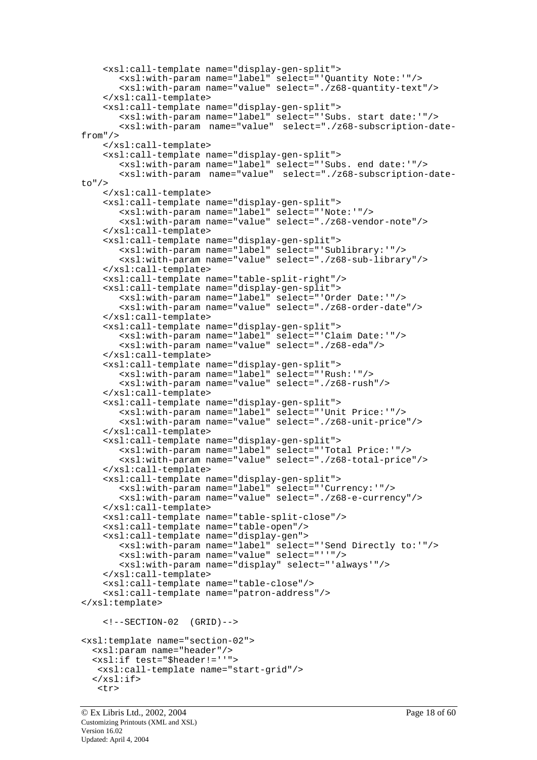```
<xsl:call-template name="display-gen-split">
       <xsl:with-param name="label" select="'Quantity Note:'"/>
       <xsl:with-param name="value" select="./z68-quantity-text"/>
    </xsl:call-template>
    <xsl:call-template name="display-gen-split">
       <xsl:with-param name="label" select="'Subs. start date:'"/>
       <xsl:with-param name="value" select="./z68-subscription-date-
from"/>
    </xsl:call-template>
    <xsl:call-template name="display-gen-split">
       <xsl:with-param name="label" select="'Subs. end date:'"/>
       <xsl:with-param name="value" select="./z68-subscription-date-
to"/>
    </xsl:call-template>
    <xsl:call-template name="display-gen-split">
       <xsl:with-param name="label" select="'Note:'"/>
       <xsl:with-param name="value" select="./z68-vendor-note"/>
    </xsl:call-template>
    <xsl:call-template name="display-gen-split">
       <xsl:with-param name="label" select="'Sublibrary:'"/>
       <xsl:with-param name="value" select="./z68-sub-library"/>
    </xsl:call-template>
    <xsl:call-template name="table-split-right"/>
    <xsl:call-template name="display-gen-split">
       <xsl:with-param name="label" select="'Order Date:'"/>
       <xsl:with-param name="value" select="./z68-order-date"/>
    </xsl:call-template>
    <xsl:call-template name="display-gen-split">
       <xsl:with-param name="label" select="'Claim Date:'"/>
       <xsl:with-param name="value" select="./z68-eda"/>
    </xsl:call-template>
    <xsl:call-template name="display-gen-split">
       <xsl:with-param name="label" select="'Rush:'"/>
       <xsl:with-param name="value" select="./z68-rush"/>
    </xsl:call-template>
    <xsl:call-template name="display-gen-split">
       <xsl:with-param name="label" select="'Unit Price:'"/>
       <xsl:with-param name="value" select="./z68-unit-price"/>
    </xsl:call-template>
    <xsl:call-template name="display-gen-split">
       <xsl:with-param name="label" select="'Total Price:'"/>
       <xsl:with-param name="value" select="./z68-total-price"/>
    </xsl:call-template>
    <xsl:call-template name="display-gen-split">
       <xsl:with-param name="label" select="'Currency:'"/>
       <xsl:with-param name="value" select="./z68-e-currency"/>
    </xsl:call-template>
    <xsl:call-template name="table-split-close"/>
    <xsl:call-template name="table-open"/>
    <xsl:call-template name="display-gen">
       <xsl:with-param name="label" select="'Send Directly to:'"/>
       <xsl:with-param name="value" select="''"/>
       <xsl:with-param name="display" select="'always'"/>
    </xsl:call-template>
    <xsl:call-template name="table-close"/>
    <xsl:call-template name="patron-address"/>
</xsl:template>
    \langle :--SECTION-02 (GRID)-->
<xsl:template name="section-02">
  <xsl:param name="header"/>
  <xsl:if test="$header!=''">
   <xsl:call-template name="start-grid"/>
  \langle xsl:if\rangle<tr>
```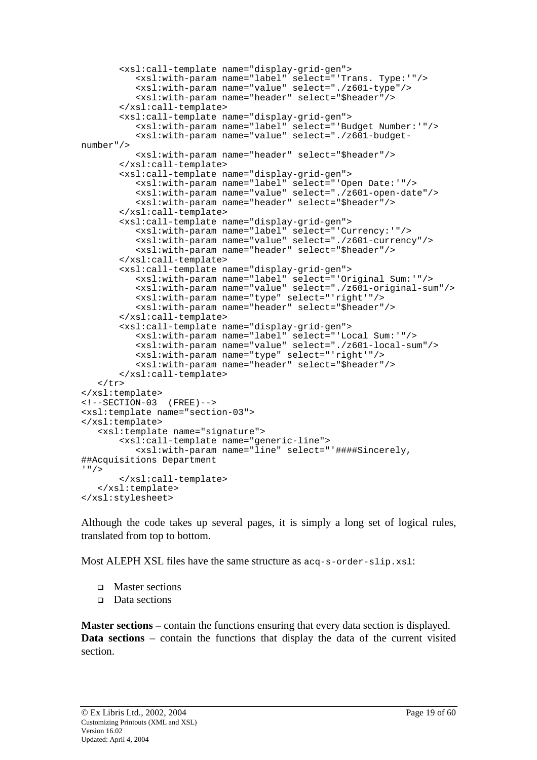```
<xsl:call-template name="display-grid-gen">
          <xsl:with-param name="label" select="'Trans. Type:'"/>
          <xsl:with-param name="value" select="./z601-type"/>
          <xsl:with-param name="header" select="$header"/>
       </xsl:call-template>
       <xsl:call-template name="display-grid-gen">
          <xsl:with-param name="label" select="'Budget Number:'"/>
          <xsl:with-param name="value" select="./z601-budget-
number"/>
          <xsl:with-param name="header" select="$header"/>
       </xsl:call-template>
       <xsl:call-template name="display-grid-gen">
          <xsl:with-param name="label" select="'Open Date:'"/>
          <xsl:with-param name="value" select="./z601-open-date"/>
          <xsl:with-param name="header" select="$header"/>
       </xsl:call-template>
       <xsl:call-template name="display-grid-gen">
          <xsl:with-param name="label" select="'Currency:'"/>
          <xsl:with-param name="value" select="./z601-currency"/>
          <xsl:with-param name="header" select="$header"/>
       </xsl:call-template>
       <xsl:call-template name="display-grid-gen">
          <xsl:with-param name="label" select="'Original Sum:'"/>
          <xsl:with-param name="value" select="./z601-original-sum"/>
          <xsl:with-param name="type" select="'right'"/>
          <xsl:with-param name="header" select="$header"/>
       </xsl:call-template>
       <xsl:call-template name="display-grid-gen">
          <xsl:with-param name="label" select="'Local Sum:'"/>
          <xsl:with-param name="value" select="./z601-local-sum"/>
          <xsl:with-param name="type" select="'right'"/>
          <xsl:with-param name="header" select="$header"/>
       </xsl:call-template>
   \langle/tr>
</xsl:template>
\langle !--SECTION-03 (FREE)-->
<xsl:template name="section-03">
</xsl:template>
   <xsl:template name="signature">
       <xsl:call-template name="generic-line">
          <xsl:with-param name="line" select="'####Sincerely,
##Acquisitions Department
'"/>
       </xsl:call-template>
   </xsl:template>
</xsl:stylesheet>
```
Although the code takes up several pages, it is simply a long set of logical rules, translated from top to bottom.

Most ALEPH XSL files have the same structure as  $acq-s-order-slip(x,s)$ :

- □ Master sections
- □ Data sections

**Master sections** – contain the functions ensuring that every data section is displayed. **Data sections** – contain the functions that display the data of the current visited section.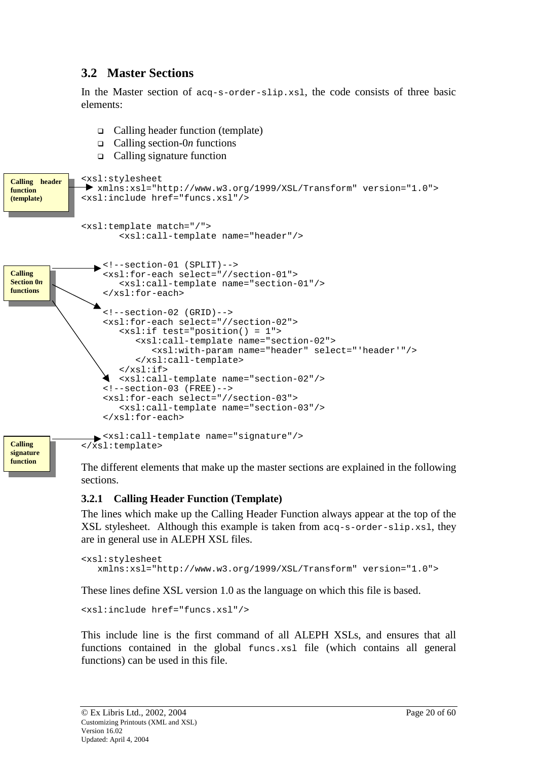# <span id="page-19-0"></span>**3.2 Master Sections**

In the Master section of acq-s-order-slip.xsl, the code consists of three basic elements:

- Calling header function (template)
- Calling section-0*n* functions
- Calling signature function

```
<xsl:stylesheet
               xmlns:xsl="http://www.w3.org/1999/XSL/Transform" version="1.0">
              <xsl:include href="funcs.xsl"/>
              <xsl:template match="/">
                      <xsl:call-template name="header"/>
                 \blacktriangleright <!--section-01 (SPLIT)-->
                   <xsl:for-each select="//section-01">
                      <xsl:call-template name="section-01"/>
                   </xsl:for-each>
                  <!--section-02 (GRID)-->
                   <xsl:for-each select="//section-02">
                      <xsl:if test="position() = 1">
                         <xsl:call-template name="section-02">
                            <xsl:with-param name="header" select="'header'"/>
                         </xsl:call-template>
                      \langle xsl:if>
                     <xsl:call-template name="section-02"/>
                  <!--section-03 (FREE)-->
                  <xsl:for-each select="//section-03">
                      <xsl:call-template name="section-03"/>
                  </xsl:for-each>
                <xsl:call-template name="signature"/>
              </xsl:template>
Calling header 
function 
(template) 
Calling 
Section 0n
functions 
Calling 
signature
```
The different elements that make up the master sections are explained in the following sections.

#### **3.2.1 Calling Header Function (Template)**

**function** 

The lines which make up the Calling Header Function always appear at the top of the XSL stylesheet. Although this example is taken from  $a_{q-s-order-slip}$ , xsl, they are in general use in ALEPH XSL files.

```
<xsl:stylesheet
  xmlns:xsl="http://www.w3.org/1999/XSL/Transform" version="1.0">
```
These lines define XSL version 1.0 as the language on which this file is based.

<xsl:include href="funcs.xsl"/>

This include line is the first command of all ALEPH XSLs, and ensures that all functions contained in the global funcs.xsl file (which contains all general functions) can be used in this file.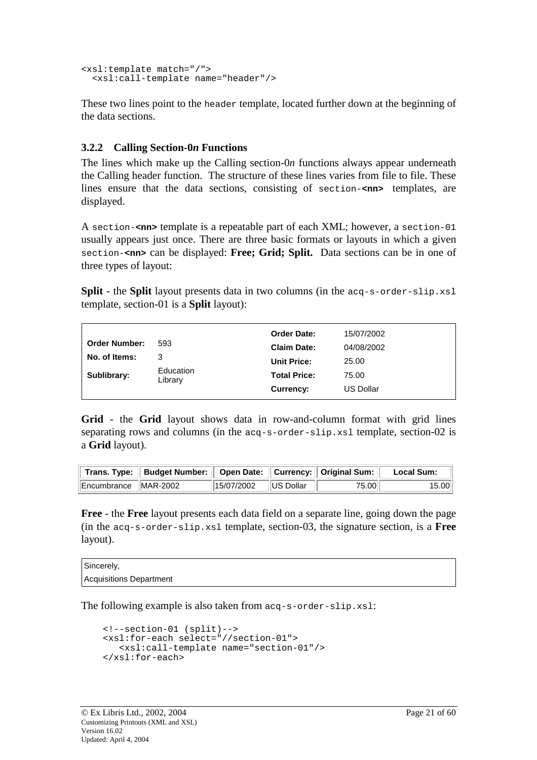```
<xsl:template match="/">
  <xsl:call-template name="header"/>
```
These two lines point to the header template, located further down at the beginning of the data sections.

## **3.2.2 Calling Section-0***n* **Functions**

The lines which make up the Calling section-0*n* functions always appear underneath the Calling header function. The structure of these lines varies from file to file. These lines ensure that the data sections, consisting of section-**<nn>** templates, are displayed.

A section-**<nn>** template is a repeatable part of each XML; however, a section-01 usually appears just once. There are three basic formats or layouts in which a given section-**<nn>** can be displayed: **Free; Grid; Split.** Data sections can be in one of three types of layout:

**Split** - the **Split** layout presents data in two columns (in the acq-s-order-slip.xsl template, section-01 is a **Split** layout):

|                      |                      | <b>Order Date:</b>  | 15/07/2002       |
|----------------------|----------------------|---------------------|------------------|
| <b>Order Number:</b> | 593                  | <b>Claim Date:</b>  | 04/08/2002       |
| No. of Items:        | 3                    | <b>Unit Price:</b>  | 25.00            |
| Sublibrary:          | Education<br>Library | <b>Total Price:</b> | 75.00            |
|                      |                      | Currency:           | <b>US Dollar</b> |

**Grid** - the **Grid** layout shows data in row-and-column format with grid lines separating rows and columns (in the acq-s-order-slip.xsl template, section-02 is a **Grid** layout).

|                        | │ Trans. Type: │ Budget Number: │ Open Date: │ Currency: │ Original Sum: │ |                           |       | <b>Local Sum:</b> |
|------------------------|----------------------------------------------------------------------------|---------------------------|-------|-------------------|
| Encumbrance   MAR-2002 |                                                                            | $  15/07/2002  US$ Dollar | 75.00 | 15.00             |

**Free** - the **Free** layout presents each data field on a separate line, going down the page (in the acq-s-order-slip.xsl template, section-03, the signature section, is a **Free** layout).

Sincerely, Acquisitions Department

The following example is also taken from acq-s-order-slip.xsl:

```
<!--section-01 (split)-->
<xsl:for-each select="//section-01">
   <xsl:call-template name="section-01"/>
</xsl:for-each>
```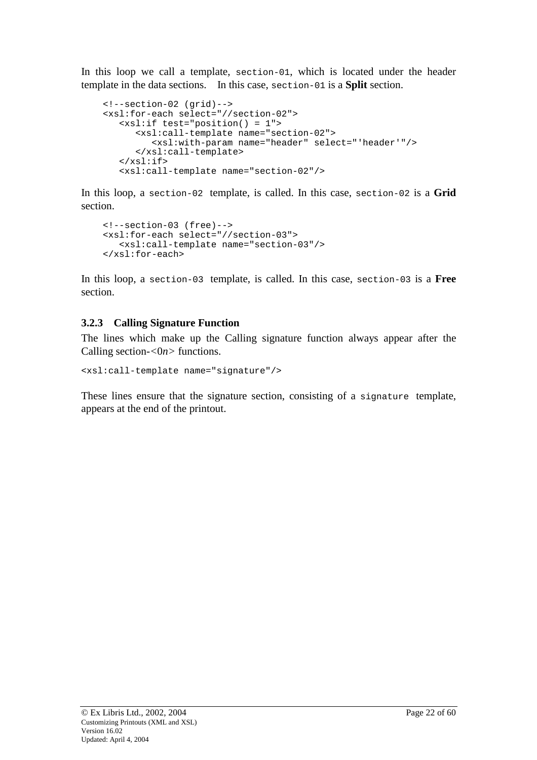<span id="page-21-0"></span>In this loop we call a template, section-01, which is located under the header template in the data sections. In this case, section-01 is a **Split** section.

```
<!--section-02 (grid)-->
<xsl:for-each select="//section-02">
   <xsl:if test="position() = 1">
      <xsl:call-template name="section-02">
         <xsl:with-param name="header" select="'header'"/>
      </xsl:call-template>
   \langle xsl:if>
   <xsl:call-template name="section-02"/>
```
In this loop, a section-02 template, is called. In this case, section-02 is a **Grid** section.

```
<!--section-03 (free)-->
<xsl:for-each select="//section-03">
   <xsl:call-template name="section-03"/>
</xsl:for-each>
```
In this loop, a section-03 template, is called. In this case, section-03 is a **Free** section.

### **3.2.3 Calling Signature Function**

The lines which make up the Calling signature function always appear after the Calling section-*<*0*n>* functions.

<xsl:call-template name="signature"/>

These lines ensure that the signature section, consisting of a signature template, appears at the end of the printout.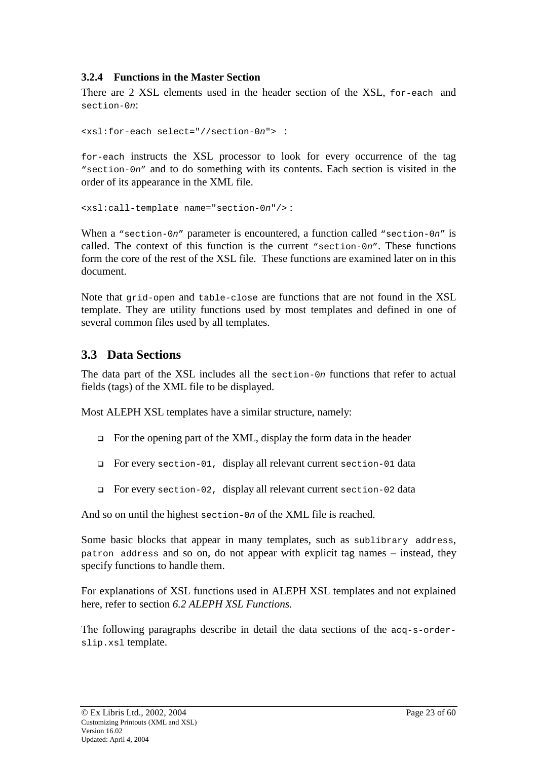#### <span id="page-22-0"></span>**3.2.4 Functions in the Master Section**

There are 2 XSL elements used in the header section of the XSL, for-each and section-0n:

```
<xsl:for-each select="//section-0n"> :
```
for-each instructs the XSL processor to look for every occurrence of the tag "section-0n" and to do something with its contents. Each section is visited in the order of its appearance in the XML file.

<xsl:call-template name="section-0n"/> :

When a "section-0n" parameter is encountered, a function called "section-0n" is called. The context of this function is the current "section-0n". These functions form the core of the rest of the XSL file. These functions are examined later on in this document.

Note that grid-open and table-close are functions that are not found in the XSL template. They are utility functions used by most templates and defined in one of several common files used by all templates.

# **3.3 Data Sections**

The data part of the XSL includes all the section-0n functions that refer to actual fields (tags) of the XML file to be displayed.

Most ALEPH XSL templates have a similar structure, namely:

- $\Box$  For the opening part of the XML, display the form data in the header
- For every section-01, display all relevant current section-01 data
- For every section-02, display all relevant current section-02 data

And so on until the highest section-0n of the XML file is reached.

Some basic blocks that appear in many templates, such as sublibrary address, patron address and so on, do not appear with explicit tag names – instead, they specify functions to handle them.

For explanations of XSL functions used in ALEPH XSL templates and not explained here, refer to section *6.2 ALEPH XSL Functions.* 

The following paragraphs describe in detail the data sections of the acq-s-orderslip.xsl template.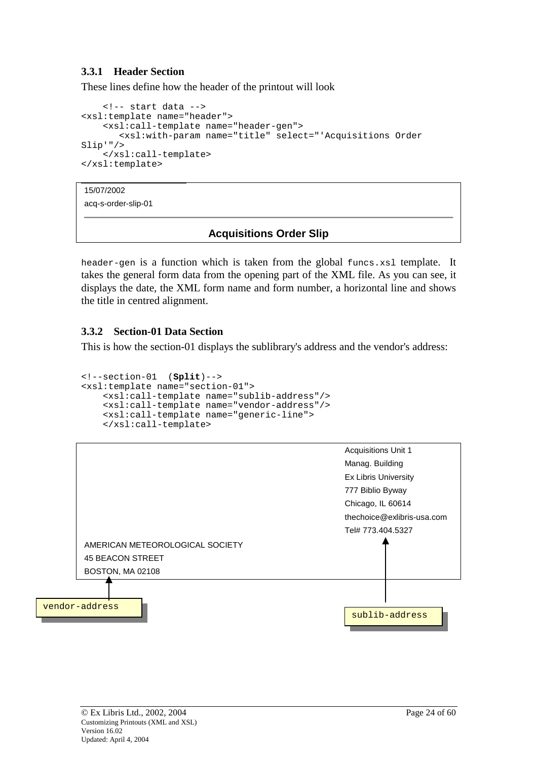#### <span id="page-23-0"></span>**3.3.1 Header Section**

These lines define how the header of the printout will look

```
<!-- start data -->
<xsl:template name="header">
    <xsl:call-template name="header-gen">
       <xsl:with-param name="title" select="'Acquisitions Order
Slip'"/>
    </xsl:call-template>
</xsl:template>
```
15/07/2002

acq-s-order-slip-01

### **Acquisitions Order Slip**

header-gen is a function which is taken from the global funcs.xsl template. It takes the general form data from the opening part of the XML file. As you can see, it displays the date, the XML form name and form number, a horizontal line and shows the title in centred alignment.

#### **3.3.2 Section-01 Data Section**

This is how the section-01 displays the sublibrary's address and the vendor's address:

```
<!--section-01 (Split)-->
<xsl:template name="section-01">
   <xsl:call-template name="sublib-address"/>
   <xsl:call-template name="vendor-address"/>
   <xsl:call-template name="generic-line">
   </xsl:call-template>
```
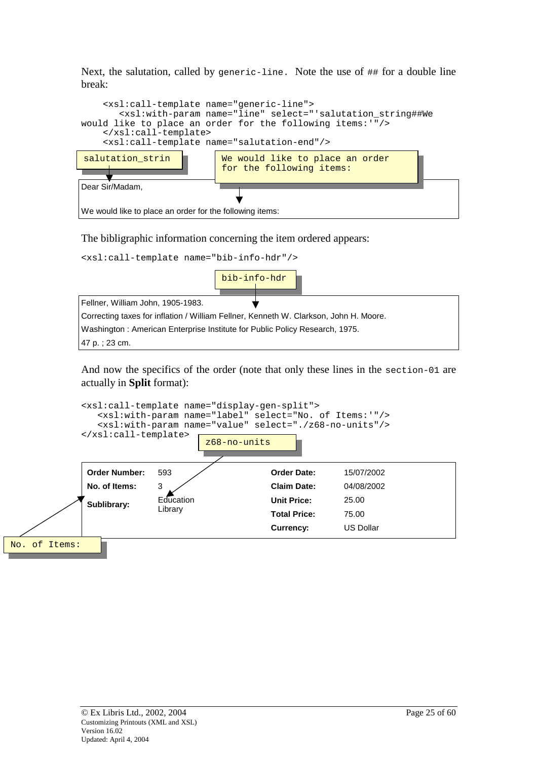Next, the salutation, called by generic-line. Note the use of ## for a double line break:



The bibligraphic information concerning the item ordered appears:

| <xsl:call-template name="bib-info-hdr"></xsl:call-template>                           |              |  |  |
|---------------------------------------------------------------------------------------|--------------|--|--|
|                                                                                       | bib-info-hdr |  |  |
| Fellner, William John, 1905-1983.                                                     |              |  |  |
| Correcting taxes for inflation / William Fellner, Kenneth W. Clarkson, John H. Moore. |              |  |  |
| Washington: American Enterprise Institute for Public Policy Research, 1975.           |              |  |  |
| 47 p. ; 23 cm.                                                                        |              |  |  |

And now the specifics of the order (note that only these lines in the section-01 are actually in **Split** format):

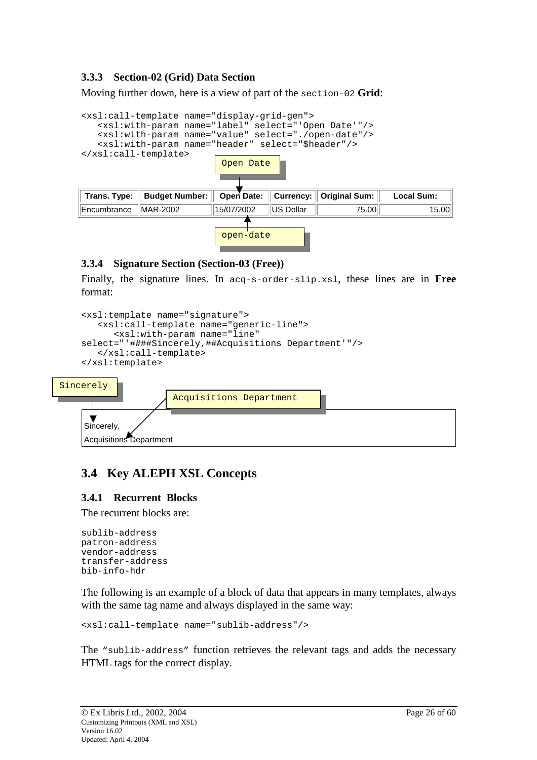### <span id="page-25-0"></span>**3.3.3 Section-02 (Grid) Data Section**

Moving further down, here is a view of part of the section-02 **Grid**:

| <b>Budget Number:</b> | Open Date:                         | <b>Currency:</b> | <b>Original Sum:</b>                                                                        | Local Sum:                                                                                                                                                                                                      |
|-----------------------|------------------------------------|------------------|---------------------------------------------------------------------------------------------|-----------------------------------------------------------------------------------------------------------------------------------------------------------------------------------------------------------------|
| MAR-2002              | 15/07/2002                         | IUS Dollar       | 75.00                                                                                       | 15.00                                                                                                                                                                                                           |
|                       |                                    |                  |                                                                                             |                                                                                                                                                                                                                 |
|                       | $\langle xsl:call-template\rangle$ |                  | <xsl:call-template name="display-grid-gen"><br/>Open Date<br/>open-date</xsl:call-template> | <xsl:with-param name="label" select="'Open Date'"></xsl:with-param><br><xsl:with-param name="value" select="./open-date"></xsl:with-param><br><xsl:with-param name="header" select="\$header"></xsl:with-param> |

#### **3.3.4 Signature Section (Section-03 (Free))**

Finally, the signature lines. In acq-s-order-slip.xsl, these lines are in **Free** format:

```
<xsl:template name="signature">
       <xsl:call-template name="generic-line">
          <xsl:with-param name="line"
    select="'####Sincerely,##Acquisitions Department'"/>
       </xsl:call-template>
    </xsl:template>
Sincerely
```


# **3.4 Key ALEPH XSL Concepts**

#### **3.4.1 Recurrent Blocks**

The recurrent blocks are:

```
sublib-address
patron-address
vendor-address
transfer-address
bib-info-hdr
```
The following is an example of a block of data that appears in many templates, always with the same tag name and always displayed in the same way:

```
<xsl:call-template name="sublib-address"/>
```
The "sublib-address" function retrieves the relevant tags and adds the necessary HTML tags for the correct display.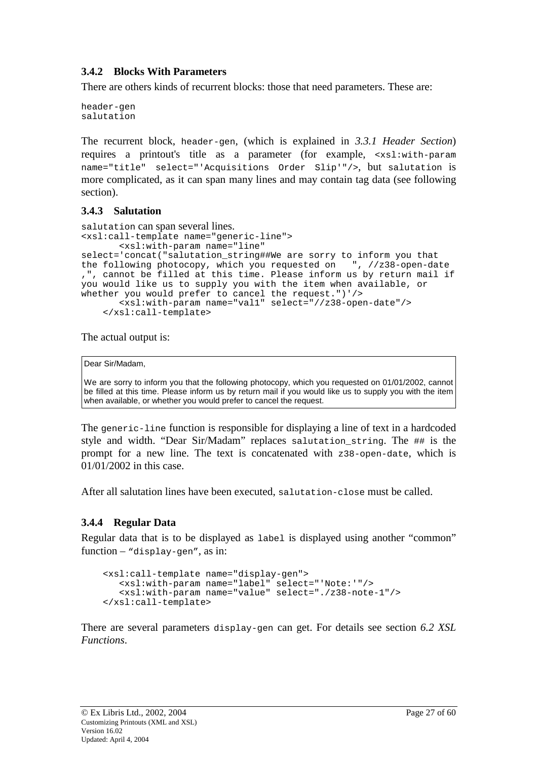#### <span id="page-26-0"></span>**3.4.2 Blocks With Parameters**

There are others kinds of recurrent blocks: those that need parameters. These are:

header-gen salutation

The recurrent block, header-gen, (which is explained in *3.3.1 Header Section*) requires a printout's title as a parameter (for example, <xsl:with-param name="title" select="'Acquisitions Order Slip'"/>, but salutation is more complicated, as it can span many lines and may contain tag data (see following section).

### **3.4.3 Salutation**

```
salutation can span several lines. 
<xsl:call-template name="generic-line">
       <xsl:with-param name="line"
select='concat("salutation string##We are sorry to inform you that
the following photocopy, which you requested on ", //z38-open-date
,", cannot be filled at this time. Please inform us by return mail if
you would like us to supply you with the item when available, or
whether you would prefer to cancel the request.")'/>
       <xsl:with-param name="val1" select="//z38-open-date"/>
    </xsl:call-template>
```
The actual output is:

```
Dear Sir/Madam,
```
We are sorry to inform you that the following photocopy, which you requested on 01/01/2002, cannot be filled at this time. Please inform us by return mail if you would like us to supply you with the item when available, or whether you would prefer to cancel the request.

The generic-line function is responsible for displaying a line of text in a hardcoded style and width. "Dear Sir/Madam" replaces salutation\_string. The ## is the prompt for a new line. The text is concatenated with  $z38$ -open-date, which is 01/01/2002 in this case.

After all salutation lines have been executed, salutation-close must be called.

### **3.4.4 Regular Data**

Regular data that is to be displayed as label is displayed using another "common" function – "display-gen", as in:

```
<xsl:call-template name="display-gen">
  <xsl:with-param name="label" select="'Note:'"/>
   <xsl:with-param name="value" select="./z38-note-1"/>
</xsl:call-template>
```
There are several parameters display-gen can get. For details see section *6.2 XSL Functions*.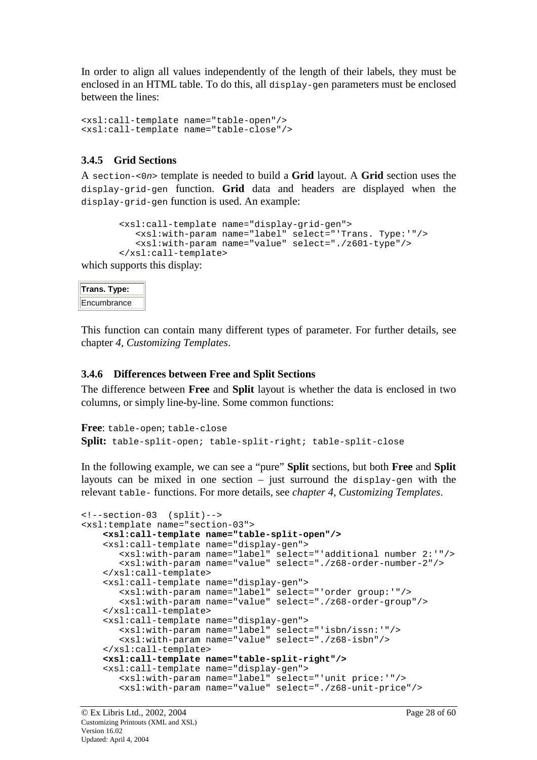<span id="page-27-0"></span>In order to align all values independently of the length of their labels, they must be enclosed in an HTML table. To do this, all display-gen parameters must be enclosed between the lines:

```
<xsl:call-template name="table-open"/>
<xsl:call-template name="table-close"/>
```
### **3.4.5 Grid Sections**

A section-<0n> template is needed to build a **Grid** layout. A **Grid** section uses the display-grid-gen function. **Grid** data and headers are displayed when the display-grid-gen function is used. An example:

```
<xsl:call-template name="display-grid-gen">
   <xsl:with-param name="label" select="'Trans. Type:'"/>
   <xsl:with-param name="value" select="./z601-type"/>
</xsl:call-template>
```
which supports this display:

| Trans. Type: |  |
|--------------|--|
| Encumbrance  |  |

This function can contain many different types of parameter. For further details, see chapter *4, Customizing Templates*.

### **3.4.6 Differences between Free and Split Sections**

The difference between **Free** and **Split** layout is whether the data is enclosed in two columns, or simply line-by-line. Some common functions:

```
Free: table-open; table-close
Split: table-split-open; table-split-right; table-split-close
```
In the following example, we can see a "pure" **Split** sections, but both **Free** and **Split** layouts can be mixed in one section – just surround the display-gen with the relevant table- functions. For more details, see *chapter 4, Customizing Templates*.

```
<!--section-03 (split)-->
<xsl:template name="section-03">
   <xsl:call-template name="table-split-open"/>
    <xsl:call-template name="display-gen">
       <xsl:with-param name="label" select="'additional number 2:'"/>
       <xsl:with-param name="value" select="./z68-order-number-2"/>
    </xsl:call-template>
    <xsl:call-template name="display-gen">
       <xsl:with-param name="label" select="'order group:'"/>
       <xsl:with-param name="value" select="./z68-order-group"/>
    </xsl:call-template>
    <xsl:call-template name="display-gen">
      <xsl:with-param name="label" select="'isbn/issn:'"/>
       <xsl:with-param name="value" select="./z68-isbn"/>
   </xsl:call-template>
    <xsl:call-template name="table-split-right"/>
    <xsl:call-template name="display-gen">
       <xsl:with-param name="label" select="'unit price:'"/>
       <xsl:with-param name="value" select="./z68-unit-price"/>
```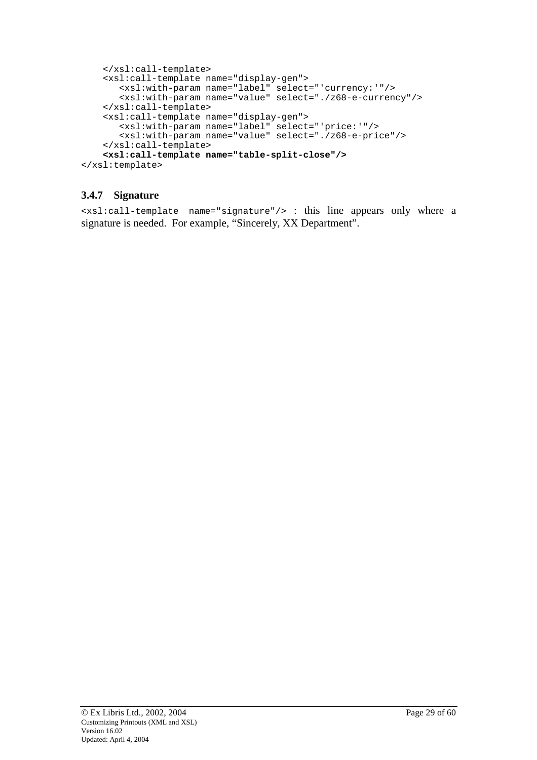```
</xsl:call-template>
    <xsl:call-template name="display-gen">
      <xsl:with-param name="label" select="'currency:'"/>
       <xsl:with-param name="value" select="./z68-e-currency"/>
    </xsl:call-template>
    <xsl:call-template name="display-gen">
       <xsl:with-param name="label" select="'price:'"/>
       <xsl:with-param name="value" select="./z68-e-price"/>
    </xsl:call-template>
    <xsl:call-template name="table-split-close"/>
</xsl:template>
```
### **3.4.7 Signature**

<xsl:call-template name="signature"/> : this line appears only where a signature is needed. For example, "Sincerely, XX Department".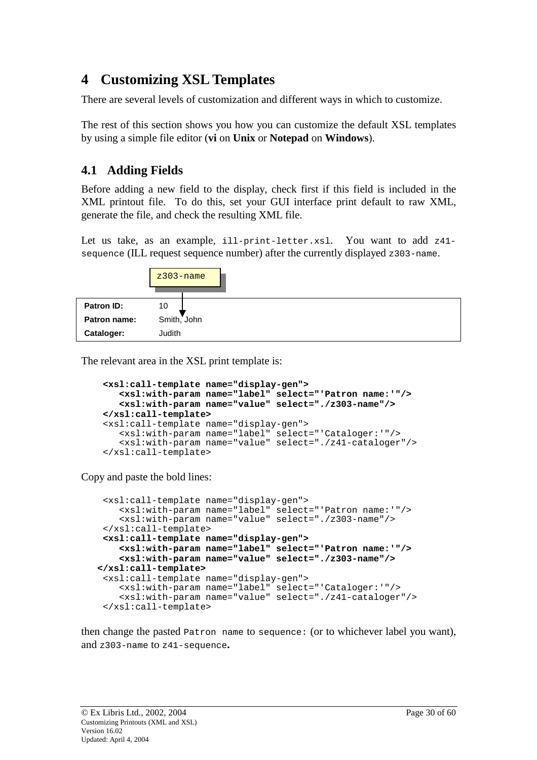# <span id="page-29-0"></span>**4 Customizing XSL Templates**

There are several levels of customization and different ways in which to customize.

The rest of this section shows you how you can customize the default XSL templates by using a simple file editor (**vi** on **Unix** or **Notepad** on **Windows**).

# **4.1 Adding Fields**

Before adding a new field to the display, check first if this field is included in the XML printout file. To do this, set your GUI interface print default to raw XML, generate the file, and check the resulting XML file.

Let us take, as an example, ill-print-letter.xsl. You want to add z41 sequence (ILL request sequence number) after the currently displayed z303-name.



The relevant area in the XSL print template is:

```
<xsl:call-template name="display-gen">
   <xsl:with-param name="label" select="'Patron name:'"/>
   <xsl:with-param name="value" select="./z303-name"/>
</xsl:call-template>
<xsl:call-template name="display-gen">
   <xsl:with-param name="label" select="'Cataloger:'"/>
   <xsl:with-param name="value" select="./z41-cataloger"/>
</xsl:call-template>
```
Copy and paste the bold lines:

```
<xsl:call-template name="display-gen">
    <xsl:with-param name="label" select="'Patron name:'"/>
    <xsl:with-param name="value" select="./z303-name"/>
 </xsl:call-template>
 <xsl:call-template name="display-gen">
    <xsl:with-param name="label" select="'Patron name:'"/>
    <xsl:with-param name="value" select="./z303-name"/>
</xsl:call-template>
 <xsl:call-template name="display-gen">
    <xsl:with-param name="label" select="'Cataloger:'"/>
    <xsl:with-param name="value" select="./z41-cataloger"/>
 </xsl:call-template>
```
then change the pasted Patron name to sequence: (or to whichever label you want), and z303-name to z41-sequence**.**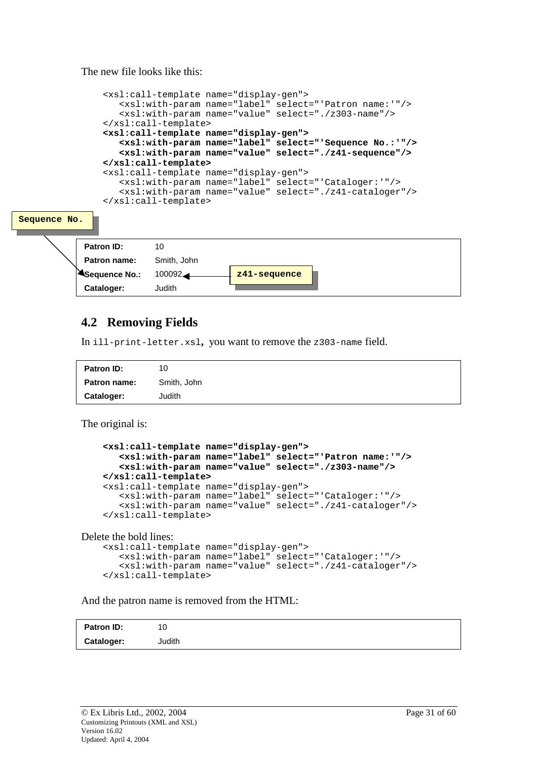The new file looks like this:

<span id="page-30-0"></span>

# **4.2 Removing Fields**

In ill-print-letter.xsl**,** you want to remove the z303-name field.

| Patron ID:          | 10          |
|---------------------|-------------|
| <b>Patron name:</b> | Smith, John |
| <b>Cataloger:</b>   | Judith      |

The original is:

```
<xsl:call-template name="display-gen">
   <xsl:with-param name="label" select="'Patron name:'"/>
   <xsl:with-param name="value" select="./z303-name"/>
</xsl:call-template>
<xsl:call-template name="display-gen">
   <xsl:with-param name="label" select="'Cataloger:'"/>
   <xsl:with-param name="value" select="./z41-cataloger"/>
</xsl:call-template>
```
Delete the bold lines:

```
<xsl:call-template name="display-gen">
   <xsl:with-param name="label" select="'Cataloger:'"/>
   <xsl:with-param name="value" select="./z41-cataloger"/>
</xsl:call-template>
```
And the patron name is removed from the HTML:

| Patron ID: | 10     |  |
|------------|--------|--|
| Cataloger: | Judith |  |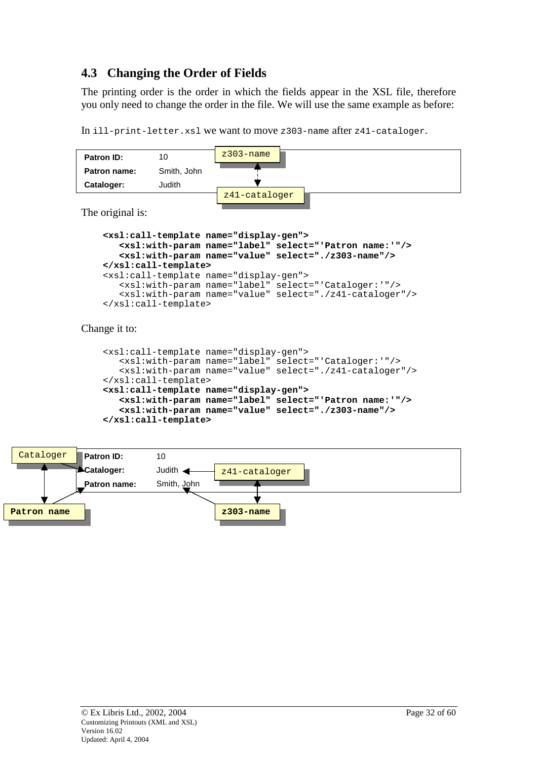# <span id="page-31-0"></span>**4.3 Changing the Order of Fields**

The printing order is the order in which the fields appear in the XSL file, therefore you only need to change the order in the file. We will use the same example as before:

```
In ill-print-letter.xsl we want to move z303-name after z41-cataloger.
```


The original is:

```
<xsl:call-template name="display-gen">
   <xsl:with-param name="label" select="'Patron name:'"/>
   <xsl:with-param name="value" select="./z303-name"/>
</xsl:call-template>
<xsl:call-template name="display-gen">
   <xsl:with-param name="label" select="'Cataloger:'"/>
   <xsl:with-param name="value" select="./z41-cataloger"/>
</xsl:call-template>
```
Change it to:

```
<xsl:call-template name="display-gen">
   <xsl:with-param name="label" select="'Cataloger:'"/>
   <xsl:with-param name="value" select="./z41-cataloger"/>
</xsl:call-template>
<xsl:call-template name="display-gen">
   <xsl:with-param name="label" select="'Patron name:'"/>
   <xsl:with-param name="value" select="./z303-name"/>
</xsl:call-template>
```
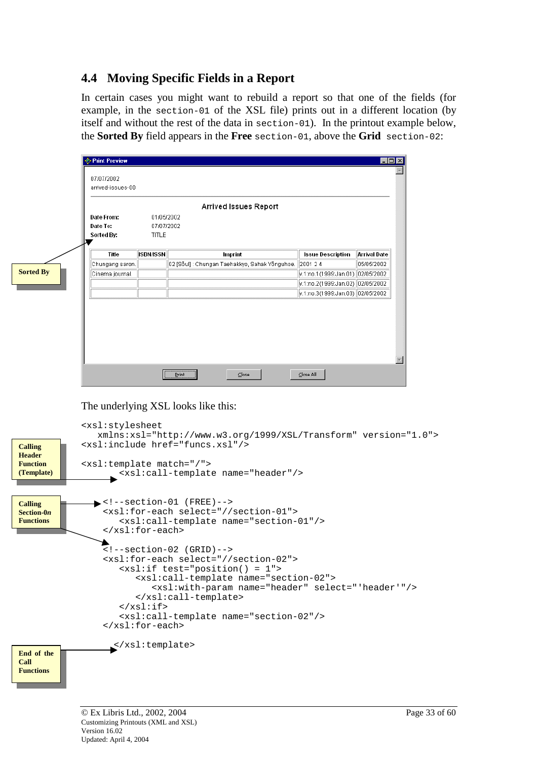# <span id="page-32-0"></span>**4.4 Moving Specific Fields in a Report**

In certain cases you might want to rebuild a report so that one of the fields (for example, in the section-01 of the XSL file) prints out in a different location (by itself and without the rest of the data in section-01). In the printout example below, the **Sorted By** field appears in the **Free** section-01, above the **Grid** section-02:

|                 |                  | Arrived Issues Report                          |                                                     |                     |
|-----------------|------------------|------------------------------------------------|-----------------------------------------------------|---------------------|
| Date From:      | 01/05/2002       |                                                |                                                     |                     |
| Date To:        | 07/07/2002       |                                                |                                                     |                     |
| Sorted By:      | <b>TITLE</b>     |                                                |                                                     |                     |
| Title           | <b>ISBN/ISSN</b> | Imprint                                        | <b>Issue Description</b>                            | <b>Arrival Date</b> |
| Chungang saron. |                  | 02 [Sõul] : Chungan Taehakkyo, Sahak Yõnguhoe. | 2001 24                                             | 05/05/2002          |
| Cinema journal. |                  |                                                | v.1:no.1(1999:Jan.01)  02/05/2002                   |                     |
|                 |                  |                                                | v.1:no.2(1999:Jan.02)  02/05/2002                   |                     |
|                 |                  |                                                | $\sqrt{v.1:}$ no.3(1999:Jan.03) $\sqrt{02/05/2002}$ |                     |

The underlying XSL looks like this:

```
<xsl:stylesheet
                xmlns:xsl="http://www.w3.org/1999/XSL/Transform" version="1.0">
             <xsl:include href="funcs.xsl"/>
             <xsl:template match="/">
                   <xsl:call-template name="header"/>
                \blacktriangleright <!--section-01 (FREE)-->
                 <xsl:for-each select="//section-01">
                     <xsl:call-template name="section-01"/>
                 </xsl:for-each>
                 \leq !--section-02 (GRID)-->
                 <xsl:for-each select="//section-02">
                     <xsl:if test="position() = 1">
                        <xsl:call-template name="section-02">
                           <xsl:with-param name="header" select="'header'"/>
                        </xsl:call-template>
                     \langle xsl:if>
                     <xsl:call-template name="section-02"/>
                 </xsl:for-each>
                   </xsl:template>
Calling 
Header 
Function 
(Template)
Calling 
Section-0n
Functions 
End of the 
Call 
Functions
```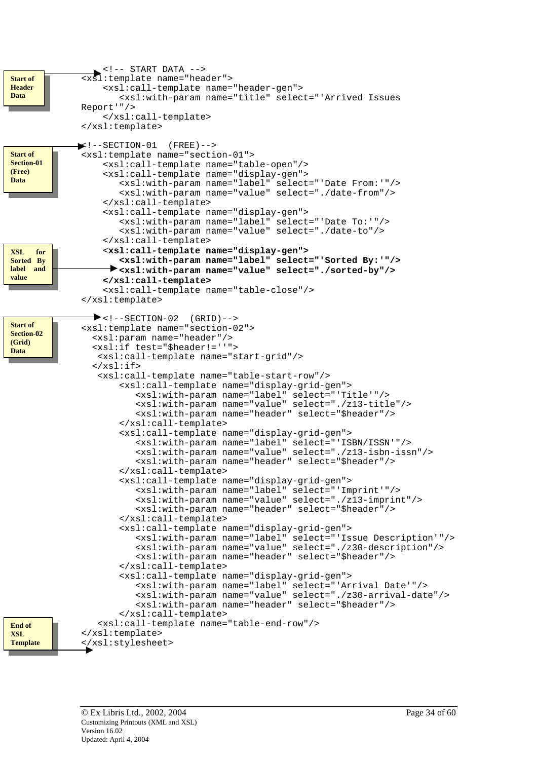```
\leq \leftarrow START DATA \leftarrow<xsl:template name="header">
                  <xsl:call-template name="header-gen">
                     <xsl:with-param name="title" select="'Arrived Issues
              Report'"/>
                  </xsl:call-template>
              </xsl:template>
             \blacktriangleright :--SECTION-01 (FREE)-->
              <xsl:template name="section-01">
                  <xsl:call-template name="table-open"/>
                  <xsl:call-template name="display-gen">
                     <xsl:with-param name="label" select="'Date From:'"/>
                     <xsl:with-param name="value" select="./date-from"/>
                  </xsl:call-template>
                  <xsl:call-template name="display-gen">
                     <xsl:with-param name="label" select="'Date To:'"/>
                     <xsl:with-param name="value" select="./date-to"/>
                  </xsl:call-template>
                  <xsl:call-template name="display-gen">
                     <xsl:with-param name="label" select="'Sorted By:'"/>
                   <xsl:with-param name="value" select="./sorted-by"/>
                  </xsl:call-template>
                  <xsl:call-template name="table-close"/>
              </xsl:template>
                \blacktriangleright <!--SECTION-02 (GRID)-->
              <xsl:template name="section-02">
                <xsl:param name="header"/>
                <xsl:if test="$header!=''">
                 <xsl:call-template name="start-grid"/>
                \langle xsl:if\rangle<xsl:call-template name="table-start-row"/>
                     <xsl:call-template name="display-grid-gen">
                         <xsl:with-param name="label" select="'Title'"/>
                         <xsl:with-param name="value" select="./z13-title"/>
                         <xsl:with-param name="header" select="$header"/>
                     </xsl:call-template>
                     <xsl:call-template name="display-grid-gen">
                         <xsl:with-param name="label" select="'ISBN/ISSN'"/>
                         <xsl:with-param name="value" select="./z13-isbn-issn"/>
                         <xsl:with-param name="header" select="$header"/>
                     </xsl:call-template>
                     <xsl:call-template name="display-grid-gen">
                         <xsl:with-param name="label" select="'Imprint'"/>
                         <xsl:with-param name="value" select="./z13-imprint"/>
                         <xsl:with-param name="header" select="$header"/>
                     </xsl:call-template>
                     <xsl:call-template name="display-grid-gen">
                         <xsl:with-param name="label" select="'Issue Description'"/>
                         <xsl:with-param name="value" select="./z30-description"/>
                         <xsl:with-param name="header" select="$header"/>
                     </xsl:call-template>
                     <xsl:call-template name="display-grid-gen">
                         <xsl:with-param name="label" select="'Arrival Date'"/>
                         <xsl:with-param name="value" select="./z30-arrival-date"/>
                         <xsl:with-param name="header" select="$header"/>
                     </xsl:call-template>
                 <xsl:call-template name="table-end-row"/>
              </xsl:template>
              </xsl:stylesheet>
End of 
XSL 
Template 
XSL for 
Sorted By 
label and 
value
Start of 
Section-01 
(Free) 
Data 
Start of 
Header 
Data 
Start of 
Section-02 
(Grid) 
Data
```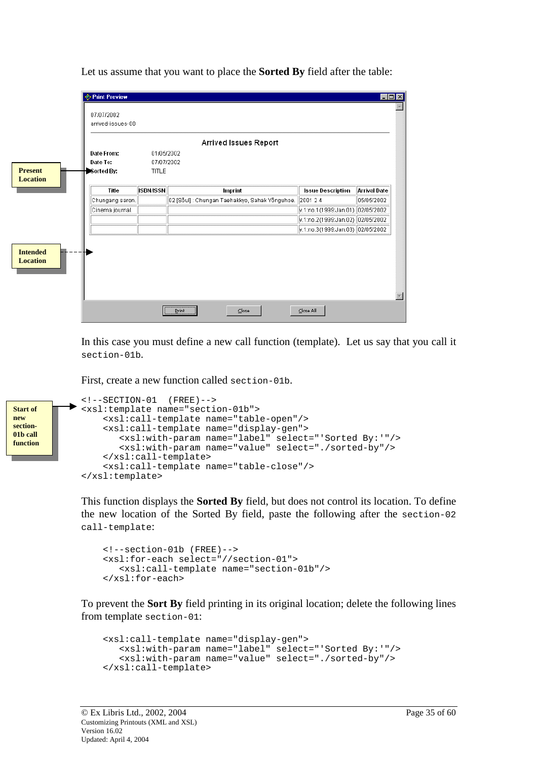Let us assume that you want to place the **Sorted By** field after the table:

| 07/07/2002                                      | arrived-issues-00 |                  |                                                           |                                                     |                     |
|-------------------------------------------------|-------------------|------------------|-----------------------------------------------------------|-----------------------------------------------------|---------------------|
|                                                 |                   |                  | Arrived Issues Report                                     |                                                     |                     |
| Date From:                                      |                   | 01/05/2002       |                                                           |                                                     |                     |
| Date To:                                        |                   | 07/07/2002       |                                                           |                                                     |                     |
| Sorted By:<br><b>Present</b><br><b>Location</b> |                   | <b>TITLE</b>     |                                                           |                                                     |                     |
|                                                 | Title             | <b>ISBN/ISSN</b> | Imprint                                                   | <b>Issue Description</b>                            | <b>Arrival Date</b> |
|                                                 | Chungang saron.   |                  | 02 [Sõul] : Chungan Taehakkyo, Sahak Yõnguhoe.   2001 2 4 |                                                     | 05/05/2002          |
|                                                 | Cinema journal.   |                  |                                                           | v.1:no.1(1999:Jan.01) 02/05/2002                    |                     |
|                                                 |                   |                  |                                                           | v.1:no.2(1999:Jan.02) 02/05/2002                    |                     |
|                                                 |                   |                  |                                                           | $\sqrt{v.1}$ :no.3(1999:Jan.03) $\sqrt{02/05/2002}$ |                     |
| <b>Intended</b><br><b>Location</b>              |                   |                  |                                                           |                                                     |                     |

In this case you must define a new call function (template). Let us say that you call it section-01b.

First, create a new function called section-01b.

```
<!--SECTION-01 (FREE)-->
             <xsl:template name="section-01b">
                 <xsl:call-template name="table-open"/>
                 <xsl:call-template name="display-gen">
                     <xsl:with-param name="label" select="'Sorted By:'"/>
                     <xsl:with-param name="value" select="./sorted-by"/>
                 </xsl:call-template>
                  <xsl:call-template name="table-close"/>
             </xsl:template>
Start of 
new 
section-
01b call 
function
```
This function displays the **Sorted By** field, but does not control its location. To define the new location of the Sorted By field, paste the following after the section-02 call-template:

```
<!--section-01b (FREE)-->
<xsl:for-each select="//section-01">
   <xsl:call-template name="section-01b"/>
</xsl:for-each>
```
To prevent the **Sort By** field printing in its original location; delete the following lines from template section-01:

```
<xsl:call-template name="display-gen">
  <xsl:with-param name="label" select="'Sorted By:'"/>
   <xsl:with-param name="value" select="./sorted-by"/>
</xsl:call-template>
```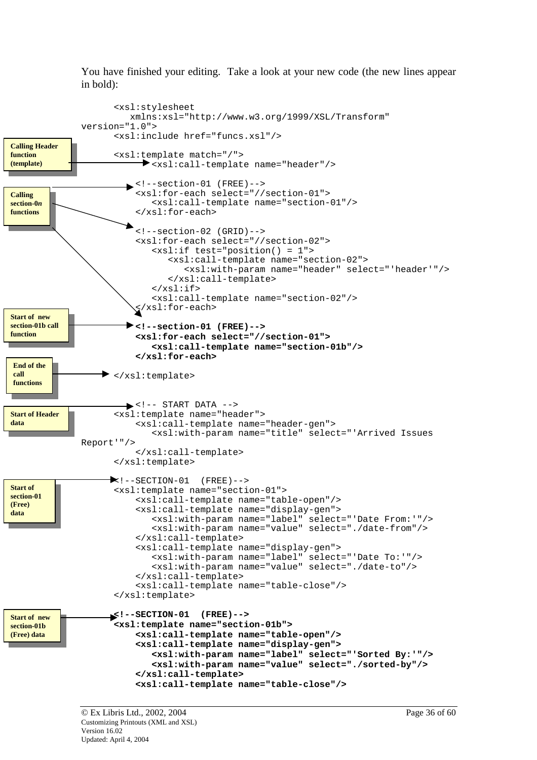You have finished your editing. Take a look at your new code (the new lines appear in bold):

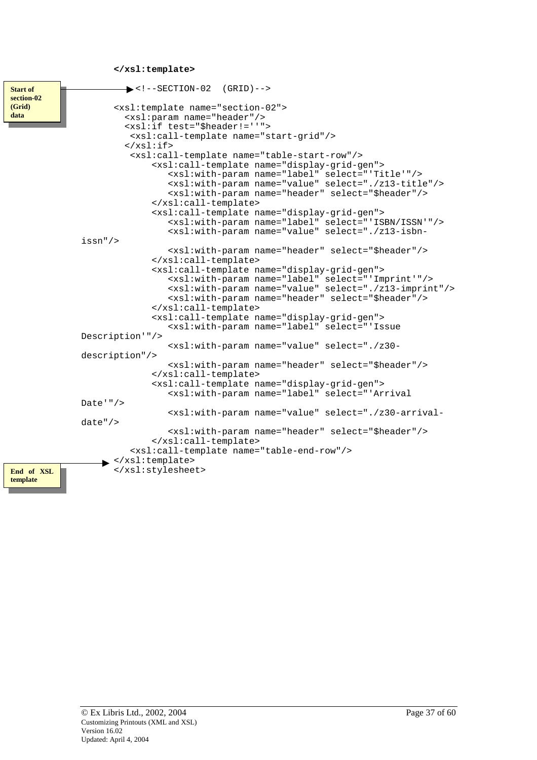**</xsl:template>**

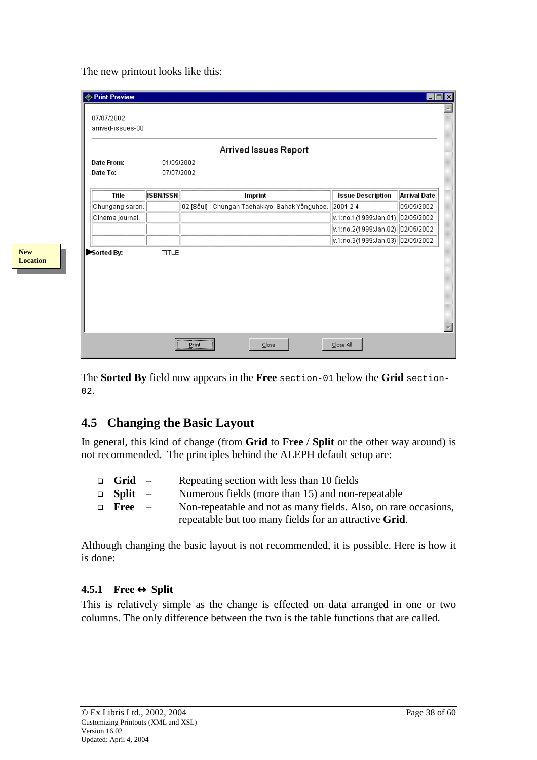The new printout looks like this:

<span id="page-37-0"></span>

|                               | <b>Exercise</b><br>07/07/2002<br>arrived-issues-00 |                  |                                                |                                                     | EO                  |
|-------------------------------|----------------------------------------------------|------------------|------------------------------------------------|-----------------------------------------------------|---------------------|
|                               |                                                    |                  | Arrived Issues Report                          |                                                     |                     |
|                               | Date From:                                         | 01/05/2002       |                                                |                                                     |                     |
|                               | Date To:                                           | 07/07/2002       |                                                |                                                     |                     |
|                               | Title                                              | <b>ISBN/ISSN</b> | Imprint                                        | <b>Issue Description</b>                            | <b>Arrival Date</b> |
|                               | Chungang saron.                                    |                  | 02 [Sõul] : Chungan Taehakkyo, Sahak Yõnguhoe. | 2001 24                                             | 05/05/2002          |
|                               | Cinema journal.                                    |                  |                                                | $\vert$ v.1:no.1(1999:Jan.01) $\vert$ 02/05/2002    |                     |
|                               |                                                    |                  |                                                | v.1:no.2(1999:Jan.02)  02/05/2002                   |                     |
|                               |                                                    |                  |                                                | $\sqrt{v.1}$ :no.3(1999:Jan.03) $\sqrt{02/05/2002}$ |                     |
| <b>New</b><br><b>Location</b> | Sorted By:                                         | <b>TITLE</b>     |                                                |                                                     |                     |
|                               |                                                    |                  | $C$ lose<br>Print                              | Close All                                           |                     |

The **Sorted By** field now appears in the **Free** section-01 below the **Grid** section-02.

# **4.5 Changing the Basic Layout**

In general, this kind of change (from **Grid** to **Free** / **Split** or the other way around) is not recommended**.** The principles behind the ALEPH default setup are:

| $\Box$ Grid –       |                          | Repeating section with less than 10 fields                      |
|---------------------|--------------------------|-----------------------------------------------------------------|
| $\Box$ Split $\Box$ |                          | Numerous fields (more than 15) and non-repeatable               |
| $\Box$ Free         | $\overline{\phantom{0}}$ | Non-repeatable and not as many fields. Also, on rare occasions, |
|                     |                          | repeatable but too many fields for an attractive Grid.          |

Although changing the basic layout is not recommended, it is possible. Here is how it is done:

### **4.5.1 Free** ↔ **Split**

This is relatively simple as the change is effected on data arranged in one or two columns. The only difference between the two is the table functions that are called.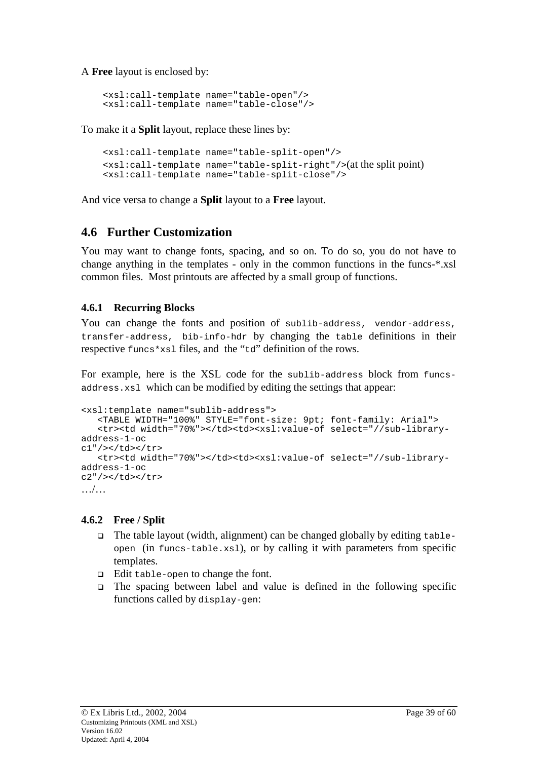<span id="page-38-0"></span>A **Free** layout is enclosed by:

```
<xsl:call-template name="table-open"/>
<xsl:call-template name="table-close"/>
```
To make it a **Split** layout, replace these lines by:

```
<xsl:call-template name="table-split-open"/>
\{x\}:call-template name="table-split-right"/>(at the split point)
<xsl:call-template name="table-split-close"/>
```
And vice versa to change a **Split** layout to a **Free** layout.

# **4.6 Further Customization**

You may want to change fonts, spacing, and so on. To do so, you do not have to change anything in the templates - only in the common functions in the funcs-\*.xsl common files. Most printouts are affected by a small group of functions.

### **4.6.1 Recurring Blocks**

You can change the fonts and position of sublib-address, vendor-address, transfer-address, bib-info-hdr by changing the table definitions in their respective funcs\*xsl files, and the "td" definition of the rows.

For example, here is the XSL code for the sublib-address block from funcsaddress.xsl which can be modified by editing the settings that appear:

```
<xsl:template name="sublib-address">
   <TABLE WIDTH="100%" STYLE="font-size: 9pt; font-family: Arial">
   <tr><td width="70%"></td><td><xsl:value-of select="//sub-library-
address-1-oc
c1"/></td></tr>
   <tr><td width="70%"></td><td><xsl:value-of select="//sub-library-
address-1-oc
c2"/></td></tr>
…/…
```
### **4.6.2 Free / Split**

- $\Box$  The table layout (width, alignment) can be changed globally by editing tableopen (in funcs-table.xsl), or by calling it with parameters from specific templates.
- **Edit table-open to change the font.**
- $\Box$  The spacing between label and value is defined in the following specific functions called by display-gen: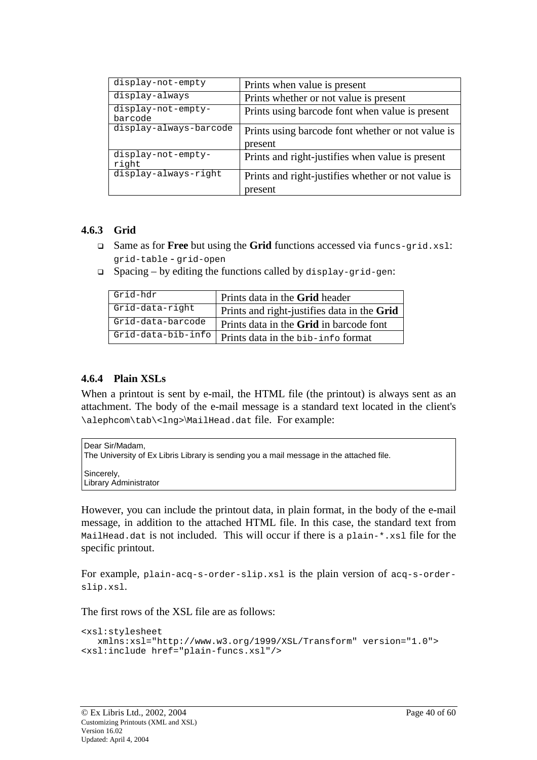<span id="page-39-0"></span>

| display-not-empty             | Prints when value is present                       |  |
|-------------------------------|----------------------------------------------------|--|
| display-always                | Prints whether or not value is present             |  |
| display-not-empty-<br>barcode | Prints using barcode font when value is present    |  |
| display-always-barcode        | Prints using barcode font whether or not value is  |  |
|                               | present                                            |  |
| display-not-empty-<br>right   | Prints and right-justifies when value is present   |  |
| display-always-right          | Prints and right-justifies whether or not value is |  |
|                               | present                                            |  |

#### **4.6.3 Grid**

- Same as for **Free** but using the **Grid** functions accessed via funcs-grid.xsl: grid-table - grid-open
- $\Box$  Spacing by editing the functions called by display-grid-gen:

| Grid-hdr           | Prints data in the Grid header              |
|--------------------|---------------------------------------------|
| Grid-data-right    | Prints and right-justifies data in the Grid |
| Grid-data-barcode  | Prints data in the Grid in barcode font     |
| Grid-data-bib-info | Prints data in the bib-info format          |

### **4.6.4 Plain XSLs**

When a printout is sent by e-mail, the HTML file (the printout) is always sent as an attachment. The body of the e-mail message is a standard text located in the client's \alephcom\tab\<lng>\MailHead.dat file. For example:

| l Dear Sir/Madam.<br>The University of Ex Libris Library is sending you a mail message in the attached file. |
|--------------------------------------------------------------------------------------------------------------|
| Sincerely,<br>Library Administrator                                                                          |

However, you can include the printout data, in plain format, in the body of the e-mail message, in addition to the attached HTML file. In this case, the standard text from MailHead.dat is not included. This will occur if there is a plain-\*.xsl file for the specific printout.

For example, plain-acq-s-order-slip.xsl is the plain version of acq-s-orderslip.xsl.

The first rows of the XSL file are as follows:

```
<xsl:stylesheet
  xmlns:xsl="http://www.w3.org/1999/XSL/Transform" version="1.0">
<xsl:include href="plain-funcs.xsl"/>
```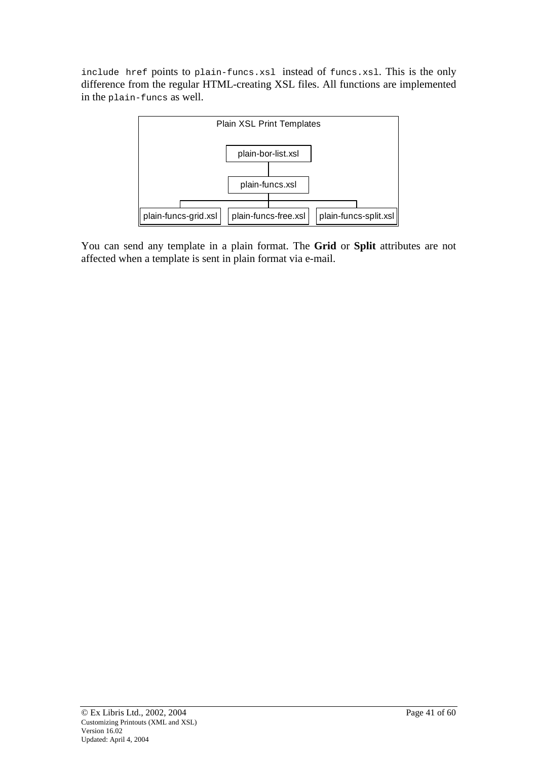include href points to plain-funcs.xsl instead of funcs.xsl. This is the only difference from the regular HTML-creating XSL files. All functions are implemented in the plain-funcs as well.



You can send any template in a plain format. The **Grid** or **Split** attributes are not affected when a template is sent in plain format via e-mail.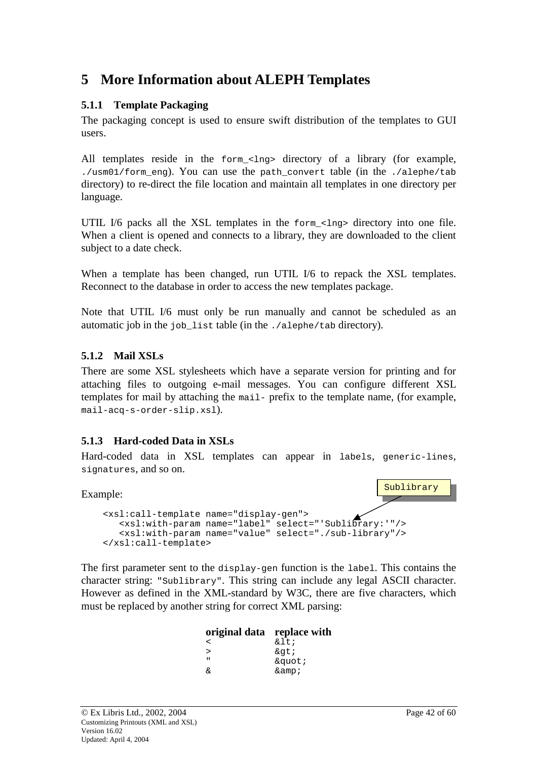# <span id="page-41-0"></span>**5 More Information about ALEPH Templates**

### **5.1.1 Template Packaging**

The packaging concept is used to ensure swift distribution of the templates to GUI users.

All templates reside in the  $f_{\text{O}}$   $\leq$   $\frac{1}{nq}$  directory of a library (for example, ./usm01/form\_eng). You can use the path\_convert table (in the ./alephe/tab directory) to re-direct the file location and maintain all templates in one directory per language.

UTIL I/6 packs all the XSL templates in the form <lng> directory into one file. When a client is opened and connects to a library, they are downloaded to the client subject to a date check.

When a template has been changed, run UTIL I/6 to repack the XSL templates. Reconnect to the database in order to access the new templates package.

Note that UTIL I/6 must only be run manually and cannot be scheduled as an automatic job in the job\_list table (in the ./alephe/tab directory).

### **5.1.2 Mail XSLs**

There are some XSL stylesheets which have a separate version for printing and for attaching files to outgoing e-mail messages. You can configure different XSL templates for mail by attaching the mail- prefix to the template name, (for example, mail-acq-s-order-slip.xsl).

### **5.1.3 Hard-coded Data in XSLs**

Hard-coded data in XSL templates can appear in labels, generic-lines, signatures, and so on.

Example:



The first parameter sent to the display-gen function is the label. This contains the character string: "Sublibrary". This string can include any legal ASCII character. However as defined in the XML-standard by W3C, there are five characters, which must be replaced by another string for correct XML parsing:

| original data replace with |           |
|----------------------------|-----------|
| ≺                          | $\&$ lt;  |
| ↘                          | >         |
| $\mathbf{u}$               | "         |
| ୷                          | $\&$ amp; |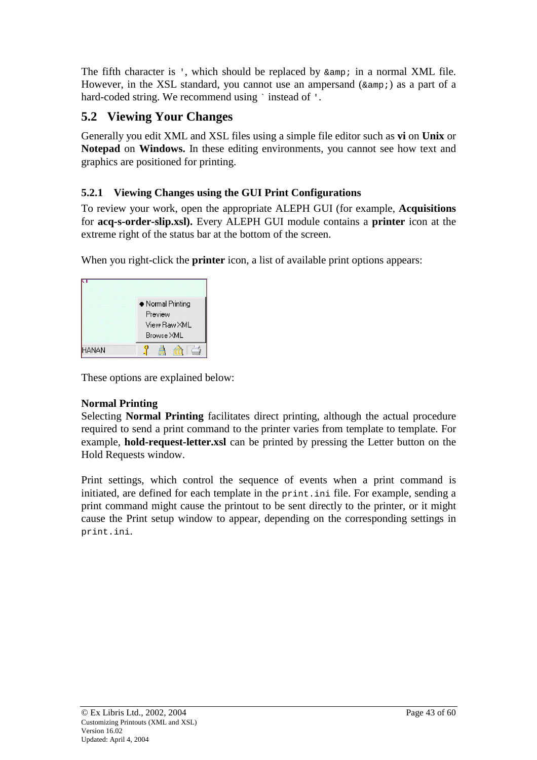<span id="page-42-0"></span>The fifth character is ', which should be replaced by  $\kappa$  amp; in a normal XML file. However, in the XSL standard, you cannot use an ampersand  $(\text{same } i)$  as a part of a hard-coded string. We recommend using `instead of '.

# **5.2 Viewing Your Changes**

Generally you edit XML and XSL files using a simple file editor such as **vi** on **Unix** or **Notepad** on **Windows.** In these editing environments, you cannot see how text and graphics are positioned for printing.

# **5.2.1 Viewing Changes using the GUI Print Configurations**

To review your work, open the appropriate ALEPH GUI (for example, **Acquisitions** for **acq-s-order-slip.xsl).** Every ALEPH GUI module contains a **printer** icon at the extreme right of the status bar at the bottom of the screen.

When you right-click the **printer** icon, a list of available print options appears:

|              | • Normal Printing<br>Preview<br>View Raw XML<br>Browse XML |
|--------------|------------------------------------------------------------|
| <b>HANAN</b> |                                                            |

These options are explained below:

# **Normal Printing**

Selecting **Normal Printing** facilitates direct printing, although the actual procedure required to send a print command to the printer varies from template to template. For example, **hold-request-letter.xsl** can be printed by pressing the Letter button on the Hold Requests window.

Print settings, which control the sequence of events when a print command is initiated, are defined for each template in the print.ini file. For example, sending a print command might cause the printout to be sent directly to the printer, or it might cause the Print setup window to appear, depending on the corresponding settings in print.ini.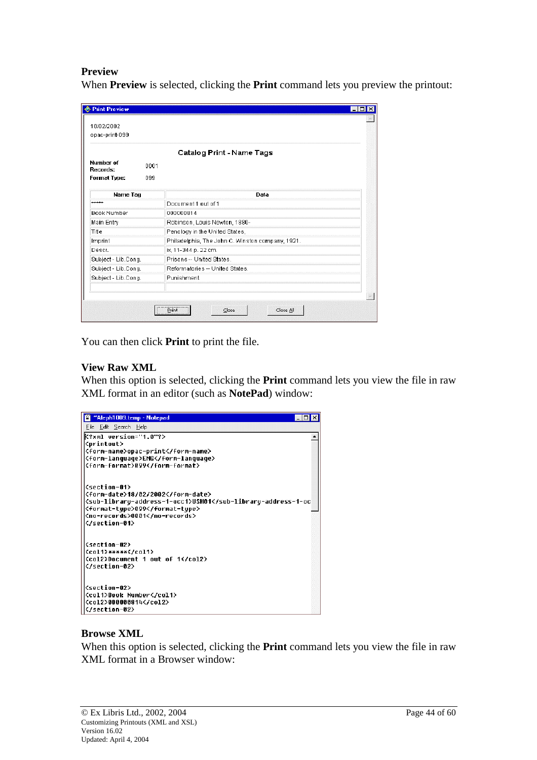#### **Preview**

When **Preview** is selected, clicking the **Print** command lets you preview the printout:

| <b>E</b> Print Preview |                                                                            | $ \Box$ $\times$ |
|------------------------|----------------------------------------------------------------------------|------------------|
| 18/02/2002             |                                                                            |                  |
| opac-print-099         |                                                                            |                  |
|                        | Catalog Print - Name Tags                                                  |                  |
| Number of<br>Records:  | 0001                                                                       |                  |
| <b>Format Type:</b>    | 099                                                                        |                  |
| Name Tag               | Data                                                                       |                  |
| *****                  | Document 1 out of 1                                                        |                  |
| <b>Book Number</b>     | 000000814                                                                  |                  |
| Main Entry             | Robinson, Louis Newton, 1880-                                              |                  |
| Title                  | Penology in the United States,                                             |                  |
| Imprint                | Philadelphia, The John C. Winston company, 1921.                           |                  |
| Descr.                 | ix, 11-344 p. 22 cm.                                                       |                  |
| Subject - Lib.Cong.    | Prisons -- United States.                                                  |                  |
| Subject - Lib.Cong.    | Reformatories -- United States.                                            |                  |
| Subject - Lib.Cong.    | Punishment.                                                                |                  |
|                        |                                                                            |                  |
|                        |                                                                            |                  |
|                        | <b><i><u>PERSONAL PROPERTY AND </u></i></b><br>Close All<br>Close<br>Print |                  |
|                        |                                                                            |                  |

You can then click **Print** to print the file.

#### **View Raw XML**

When this option is selected, clicking the **Print** command lets you view the file in raw XML format in an editor (such as **NotePad**) window:

| "Aleph1009.temp - Notepad<br>E                                          |  |
|-------------------------------------------------------------------------|--|
| File Edit Search Help                                                   |  |
| K?xml version="1.0"?>                                                   |  |
| <printout></printout>                                                   |  |
| <form-name>opac-print</form-name>                                       |  |
| <form-language>ENG</form-language>                                      |  |
| <form-format>099</form-format>                                          |  |
|                                                                         |  |
| <section-01></section-01>                                               |  |
| <form-date>18/02/2002</form-date>                                       |  |
| <sub-library-address-1-occ1>USM01<td></td></sub-library-address-1-occ1> |  |
| <format-tupe>099</format-tupe>                                          |  |
| <no-records>0001</no-records>                                           |  |
|                                                                         |  |
| <section-02></section-02>                                               |  |
| $\langle$ coli>***** $\langle$ /coli>                                   |  |
| <col2>Document 1 out of 1</col2>                                        |  |
|                                                                         |  |
|                                                                         |  |
| <section-02></section-02>                                               |  |
| <col1>Book Number</col1>                                                |  |
| <co12>000000814</co12>                                                  |  |
|                                                                         |  |

#### **Browse XML**

When this option is selected, clicking the **Print** command lets you view the file in raw XML format in a Browser window: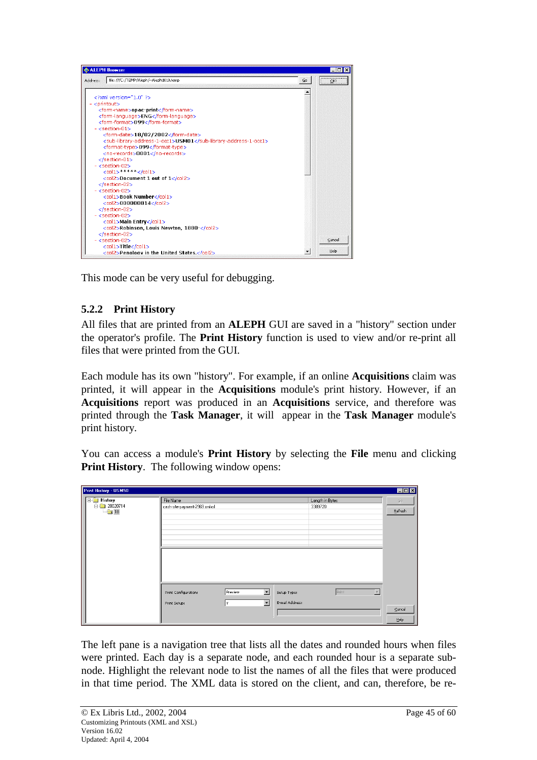<span id="page-44-0"></span>

This mode can be very useful for debugging.

### **5.2.2 Print History**

All files that are printed from an **ALEPH** GUI are saved in a "history" section under the operator's profile. The **Print History** function is used to view and/or re-print all files that were printed from the GUI.

Each module has its own "history". For example, if an online **Acquisitions** claim was printed, it will appear in the **Acquisitions** module's print history. However, if an **Acquisitions** report was produced in an **Acquisitions** service, and therefore was printed through the **Task Manager**, it will appear in the **Task Manager** module's print history.

You can access a module's **Print History** by selecting the **File** menu and clicking **Print History**. The following window opens:

| <b>Print History - USM50</b>                     |                                            |                                                             |                                |                            |                          | EDX                            |
|--------------------------------------------------|--------------------------------------------|-------------------------------------------------------------|--------------------------------|----------------------------|--------------------------|--------------------------------|
| $\Box$ History<br>白 20020714<br>$\rightarrow$ 18 | File Name<br>cash-site-payment-2969.xmlxsl |                                                             |                                | Length in Bytes<br>3389720 |                          | $\mathcal{G} \circ$<br>Refresh |
|                                                  | Print Configuration:<br>Print Setup:       | $\overline{\phantom{a}}$<br>Preview<br>$\blacksquare$<br>l۷ | Setup Type:<br>E-mail Address: | Print                      | $\overline{\phantom{a}}$ | $\subseteq$ ancel<br>He        |

The left pane is a navigation tree that lists all the dates and rounded hours when files were printed. Each day is a separate node, and each rounded hour is a separate subnode. Highlight the relevant node to list the names of all the files that were produced in that time period. The XML data is stored on the client, and can, therefore, be re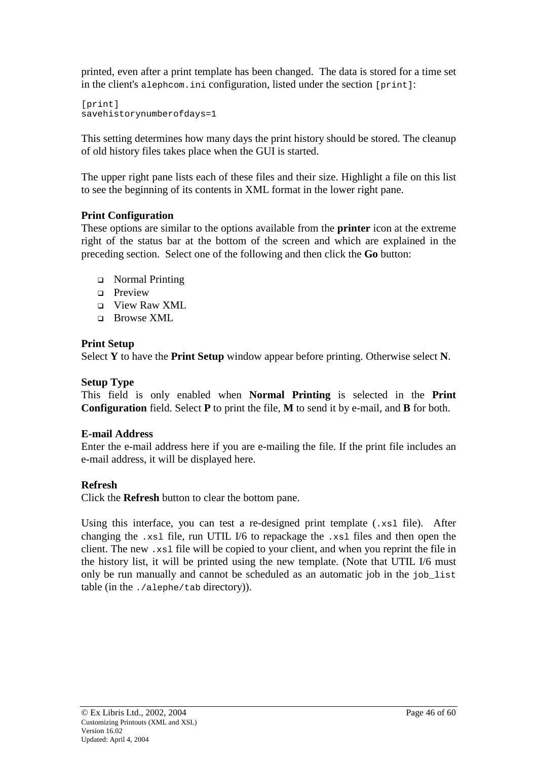printed, even after a print template has been changed. The data is stored for a time set in the client's alephcom.ini configuration, listed under the section [print]:

[print] savehistorynumberofdays=1

This setting determines how many days the print history should be stored. The cleanup of old history files takes place when the GUI is started.

The upper right pane lists each of these files and their size. Highlight a file on this list to see the beginning of its contents in XML format in the lower right pane.

### **Print Configuration**

These options are similar to the options available from the **printer** icon at the extreme right of the status bar at the bottom of the screen and which are explained in the preceding section. Select one of the following and then click the **Go** button:

- Normal Printing
- $\Box$  Preview
- **D** View Raw XML
- Browse XML

### **Print Setup**

Select **Y** to have the **Print Setup** window appear before printing. Otherwise select **N**.

## **Setup Type**

This field is only enabled when **Normal Printing** is selected in the **Print Configuration** field. Select **P** to print the file, **M** to send it by e-mail, and **B** for both.

### **E-mail Address**

Enter the e-mail address here if you are e-mailing the file. If the print file includes an e-mail address, it will be displayed here.

# **Refresh**

Click the **Refresh** button to clear the bottom pane.

Using this interface, you can test a re-designed print template (.xsl file). After changing the .xsl file, run UTIL I/6 to repackage the .xsl files and then open the client. The new .xsl file will be copied to your client, and when you reprint the file in the history list, it will be printed using the new template. (Note that UTIL I/6 must only be run manually and cannot be scheduled as an automatic job in the job\_list table (in the ./alephe/tab directory)).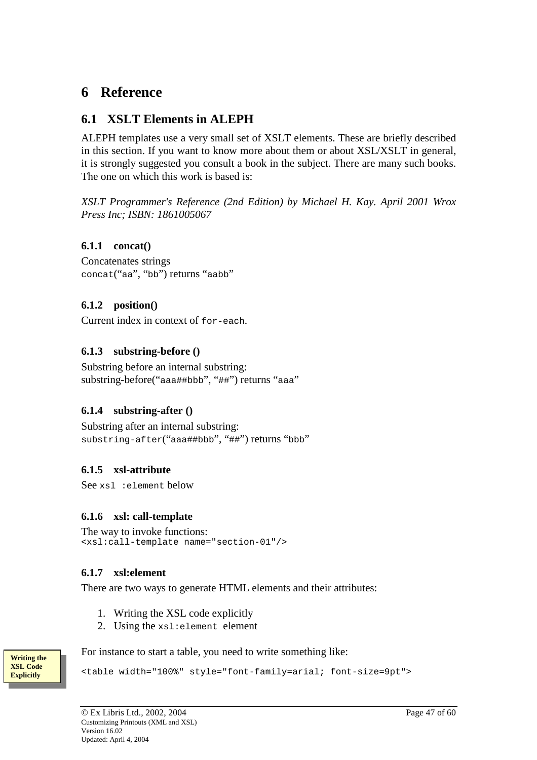# <span id="page-46-0"></span>**6 Reference**

# **6.1 XSLT Elements in ALEPH**

ALEPH templates use a very small set of XSLT elements. These are briefly described in this section. If you want to know more about them or about XSL/XSLT in general, it is strongly suggested you consult a book in the subject. There are many such books. The one on which this work is based is:

*XSLT Programmer's Reference (2nd Edition) by Michael H. Kay. April 2001 Wrox Press Inc; ISBN: 1861005067* 

### **6.1.1 concat()**

Concatenates strings concat("aa", "bb") returns "aabb"

### **6.1.2 position()**

Current index in context of for-each.

### **6.1.3 substring-before ()**

Substring before an internal substring: substring-before("aaa##bbb", "##") returns "aaa"

### **6.1.4 substring-after ()**

Substring after an internal substring: substring-after("aaa##bbb", "##") returns "bbb"

### **6.1.5 xsl-attribute**

See xsl :element below

#### **6.1.6 xsl: call-template**

```
The way to invoke functions: 
<xsl:call-template name="section-01"/>
```
#### **6.1.7 xsl:element**

There are two ways to generate HTML elements and their attributes:

- 1. Writing the XSL code explicitly
- 2. Using the xsl:element element

For instance to start a table, you need to write something like:

<table width="100%" style="font-family=arial; font-size=9pt">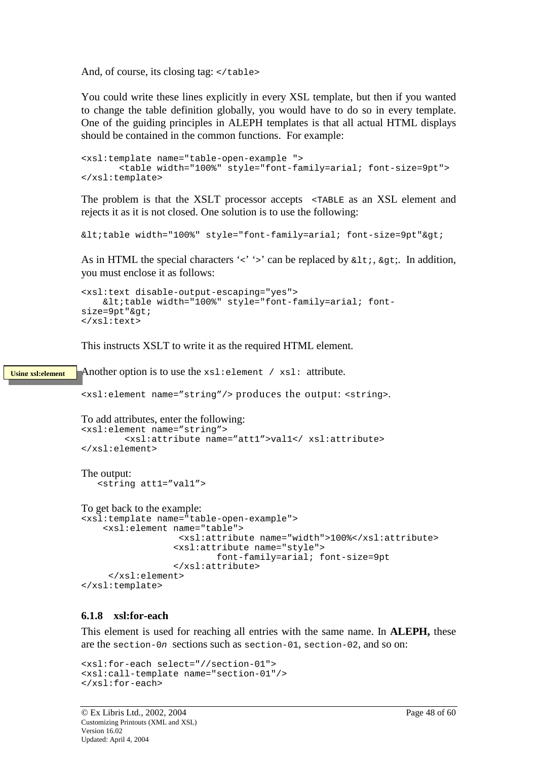<span id="page-47-0"></span>And, of course, its closing tag:  $\langle \rangle$  table>

You could write these lines explicitly in every XSL template, but then if you wanted to change the table definition globally, you would have to do so in every template. One of the guiding principles in ALEPH templates is that all actual HTML displays should be contained in the common functions. For example:

```
<xsl:template name="table-open-example ">
       <table width="100%" style="font-family=arial; font-size=9pt">
</xsl:template>
```
The problem is that the XSLT processor accepts <TABLE as an XSL element and rejects it as it is not closed. One solution is to use the following:

```
<itable width="100%" style="font-family=arial; font-size=9pt">gt;
```
As in HTML the special characters ' $\langle \cdot \rangle$ ' can be replaced by  $\< 1$ ,  $\> g$ , In addition, you must enclose it as follows:

```
<xsl:text disable-output-escaping="yes">
   \<ititable width="100%" style="font-family=arial; font-
size=9pt"&qt;
</xsl:text>
```
This instructs XSLT to write it as the required HTML element.

Another option is to use the  $xsl:element / xsl:$  attribute. **Using xsl:element**

<xsl:element name="string"/> produces the output: <string>.

```
To add attributes, enter the following: 
<xsl:element name="string">
        <xsl:attribute name="att1">val1</ xsl:attribute>
</xsl:element>
The output: 
   <string att1="val1">
```
To get back to the example:

```
<xsl:template name="table-open-example">
   <xsl:element name="table">
                 <xsl:attribute name="width">100%</xsl:attribute>
                 <xsl:attribute name="style">
                        font-family=arial; font-size=9pt
                 </xsl:attribute>
     </xsl:element>
</xsl:template>
```
#### **6.1.8 xsl:for-each**

This element is used for reaching all entries with the same name. In **ALEPH,** these are the section-0n sections such as section-01, section-02, and so on:

```
<xsl:for-each select="//section-01">
<xsl:call-template name="section-01"/>
</xsl:for-each>
```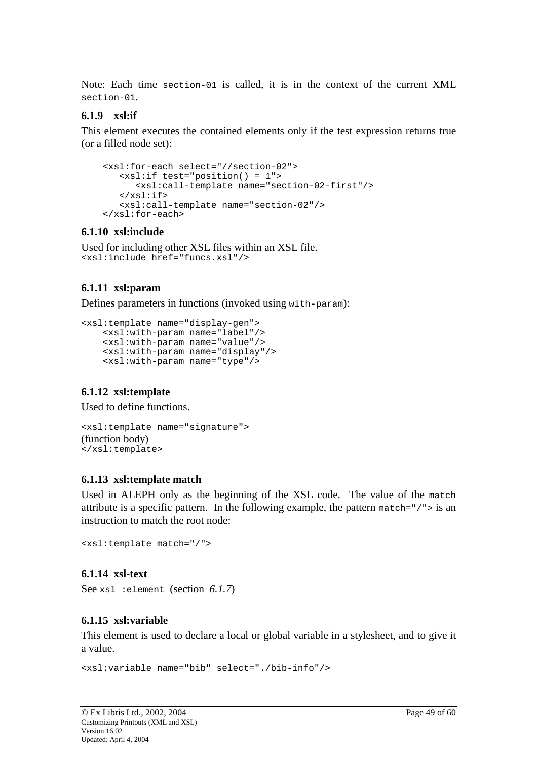<span id="page-48-0"></span>Note: Each time section-01 is called, it is in the context of the current XML section-01.

#### **6.1.9 xsl:if**

This element executes the contained elements only if the test expression returns true (or a filled node set):

```
<xsl:for-each select="//section-02">
   <xsl:if test="position() = 1">
      <xsl:call-template name="section-02-first"/>
   \langle xsl:if>
   <xsl:call-template name="section-02"/>
</xsl:for-each>
```
#### **6.1.10 xsl:include**

```
Used for including other XSL files within an XSL file. 
<xsl:include href="funcs.xsl"/>
```
### **6.1.11 xsl:param**

Defines parameters in functions (invoked using with-param):

```
<xsl:template name="display-gen">
   <xsl:with-param name="label"/>
   <xsl:with-param name="value"/>
   <xsl:with-param name="display"/>
   <xsl:with-param name="type"/>
```
#### **6.1.12 xsl:template**

Used to define functions.

```
<xsl:template name="signature">
(function body) 
</xsl:template>
```
#### **6.1.13 xsl:template match**

Used in ALEPH only as the beginning of the XSL code. The value of the match attribute is a specific pattern. In the following example, the pattern match= $\frac{1}{2}$  / $\frac{1}{2}$  is an instruction to match the root node:

<xsl:template match="/">

#### **6.1.14 xsl-text**

See xsl :element (section *6.1.7*)

#### **6.1.15 xsl:variable**

This element is used to declare a local or global variable in a stylesheet, and to give it a value.

```
<xsl:variable name="bib" select="./bib-info"/>
```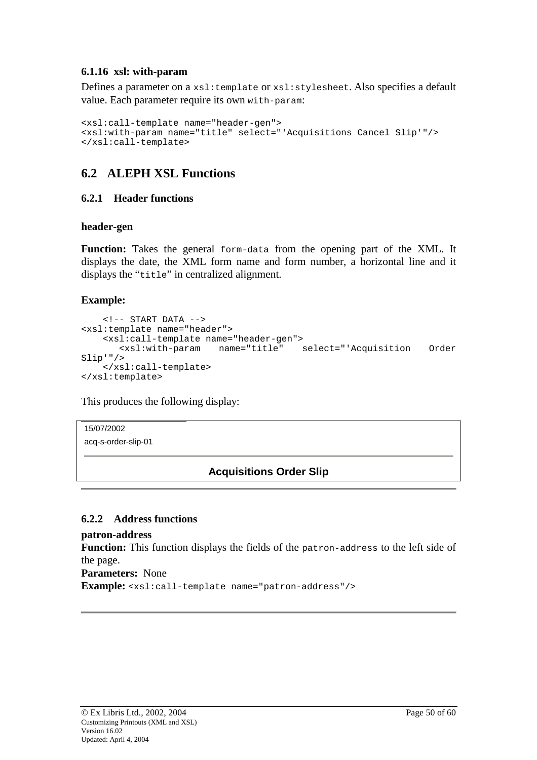#### <span id="page-49-0"></span>**6.1.16 xsl: with-param**

Defines a parameter on a xsl:template or xsl:stylesheet. Also specifies a default value. Each parameter require its own with-param:

```
<xsl:call-template name="header-gen">
<xsl:with-param name="title" select="'Acquisitions Cancel Slip'"/>
</xsl:call-template>
```
# **6.2 ALEPH XSL Functions**

#### **6.2.1 Header functions**

#### **header-gen**

**Function:** Takes the general form-data from the opening part of the XML. It displays the date, the XML form name and form number, a horizontal line and it displays the "title" in centralized alignment.

### **Example:**

```
\langle!-- START DATA -->
<xsl:template name="header">
    <xsl:call-template name="header-gen">
      <xsl:with-param name="title" select="'Acquisition Order
Slip'"/>
    </xsl:call-template>
</xsl:template>
```
This produces the following display:

15/07/2002 acq-s-order-slip-01

# **Acquisitions Order Slip**

#### **6.2.2 Address functions**

**patron-address** 

**Function:** This function displays the fields of the patron-address to the left side of the page.

**Parameters:** None

**Example:** <xsl:call-template name="patron-address"/>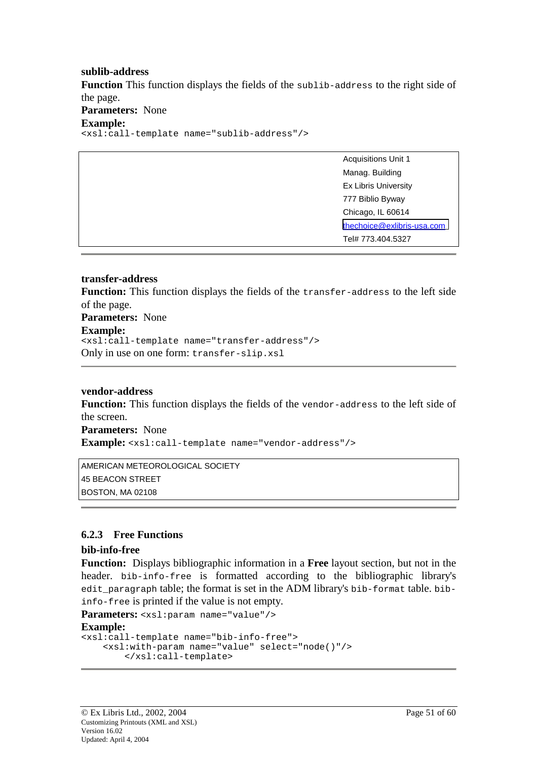#### <span id="page-50-0"></span>**sublib-address**

**Function** This function displays the fields of the sublib-address to the right side of the page.

**Parameters:** None

#### **Example:**

<xsl:call-template name="sublib-address"/>

| <b>Acquisitions Unit 1</b> |
|----------------------------|
| Manag. Building            |
| Ex Libris University       |
| 777 Biblio Byway           |
| Chicago, IL 60614          |
| thechoice@exlibris-usa.com |
| Tel# 773.404.5327          |
|                            |

#### **transfer-address**

**Function:** This function displays the fields of the transfer-address to the left side of the page.

**Parameters:** None

#### **Example:**

<xsl:call-template name="transfer-address"/> Only in use on one form: transfer-slip.xsl

#### **vendor-address**

**Function:** This function displays the fields of the vendor-address to the left side of the screen.

**Parameters:** None

**Example:** <xsl:call-template name="vendor-address"/>

AMERICAN METEOROLOGICAL SOCIETY 45 BEACON STREET BOSTON, MA 02108

#### **6.2.3 Free Functions**

#### **bib-info-free**

**Function:** Displays bibliographic information in a **Free** layout section, but not in the header. bib-info-free is formatted according to the bibliographic library's edit\_paragraph table; the format is set in the ADM library's bib-format table. bibinfo-free is printed if the value is not empty.

**Parameters:** <xsl:param name="value"/>

#### **Example:**

```
<xsl:call-template name="bib-info-free">
   <xsl:with-param name="value" select="node()"/>
       </xsl:call-template>
```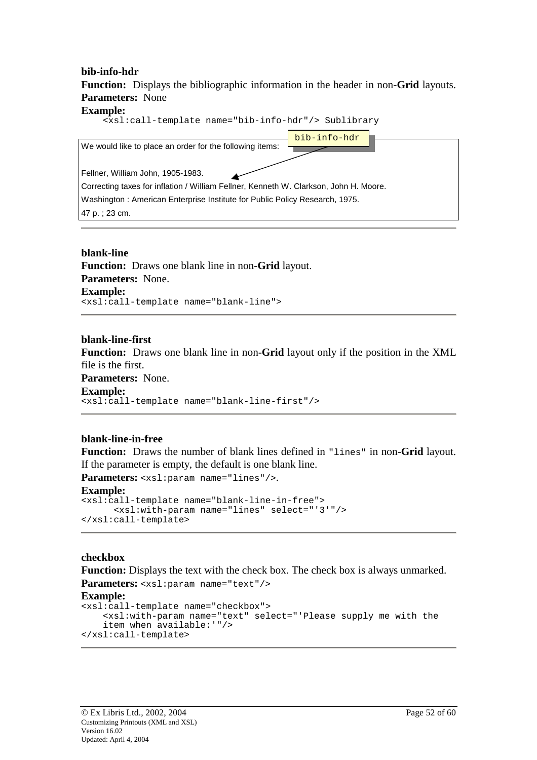**bib-info-hdr Function:** Displays the bibliographic information in the header in non-**Grid** layouts. **Parameters:** None **Example:**

| <xsl:call-template name="bib-info-hdr"></xsl:call-template> Sublibrary                |
|---------------------------------------------------------------------------------------|
| bib-info-hdr<br>We would like to place an order for the following items:              |
| Fellner, William John, 1905-1983.                                                     |
| Correcting taxes for inflation / William Fellner, Kenneth W. Clarkson, John H. Moore. |
| Washington: American Enterprise Institute for Public Policy Research, 1975.           |
| 47 p. ; 23 cm.                                                                        |

**blank-line Function:** Draws one blank line in non-**Grid** layout. **Parameters:** None. **Example:** <xsl:call-template name="blank-line">

**blank-line-first** 

**Function:** Draws one blank line in non-**Grid** layout only if the position in the XML file is the first.

**Parameters:** None.

**Example:**

<xsl:call-template name="blank-line-first"/>

#### **blank-line-in-free**

**Function:** Draws the number of blank lines defined in "lines" in non-**Grid** layout. If the parameter is empty, the default is one blank line.

Parameters: <xsl:param name="lines"/>.

#### **Example:**

```
<xsl:call-template name="blank-line-in-free">
      <xsl:with-param name="lines" select="'3'"/>
</xsl:call-template>
```
#### **checkbox**

Function: Displays the text with the check box. The check box is always unmarked. **Parameters:** <xsl:param name="text"/>

#### **Example:**

```
<xsl:call-template name="checkbox">
   <xsl:with-param name="text" select="'Please supply me with the
   item when available:'"/>
</xsl:call-template>
```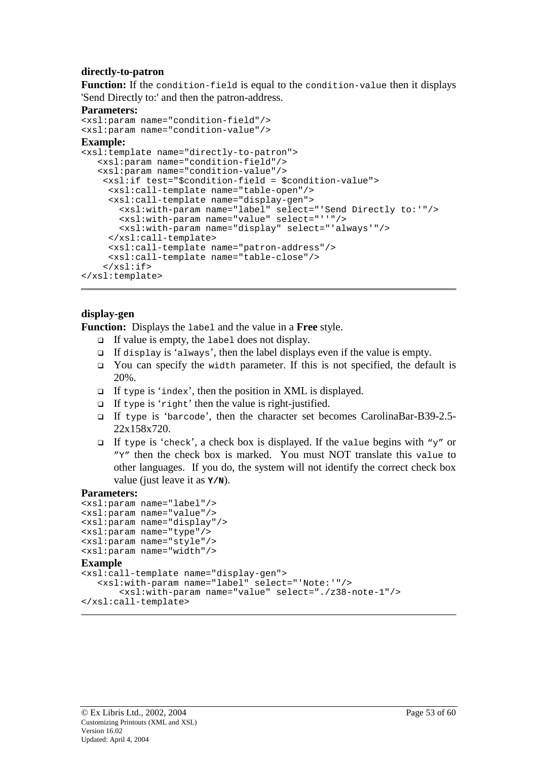#### **directly-to-patron**

Function: If the condition-field is equal to the condition-value then it displays 'Send Directly to:' and then the patron-address.

#### **Parameters:**

```
<xsl:param name="condition-field"/>
<xsl:param name="condition-value"/>
```
#### **Example:**

```
<xsl:template name="directly-to-patron">
   <xsl:param name="condition-field"/>
   <xsl:param name="condition-value"/>
    <xsl:if test="$condition-field = $condition-value">
     <xsl:call-template name="table-open"/>
     <xsl:call-template name="display-gen">
       <xsl:with-param name="label" select="'Send Directly to:'"/>
       <xsl:with-param name="value" select="''"/>
       <xsl:with-param name="display" select="'always'"/>
     </xsl:call-template>
     <xsl:call-template name="patron-address"/>
     <xsl:call-template name="table-close"/>
    \langle xs| : if \rangle</xsl:template>
```
#### **display-gen**

**Function:** Displays the label and the value in a **Free** style.

- $\Box$  If value is empty, the label does not display.
- $\Box$  If display is 'always', then the label displays even if the value is empty.
- $\Box$  You can specify the width parameter. If this is not specified, the default is 20%.
- $\Box$  If type is 'index', then the position in XML is displayed.
- $\Box$  If type is 'right' then the value is right-justified.
- If type is 'barcode', then the character set becomes CarolinaBar-B39-2.5- 22x158x720.
- If type is 'check', a check box is displayed. If the value begins with "y" or "Y" then the check box is marked. You must NOT translate this value to other languages. If you do, the system will not identify the correct check box value (just leave it as **Y/N**).

#### **Parameters:**

```
<xsl:param name="label"/>
<xsl:param name="value"/>
<xsl:param name="display"/>
<xsl:param name="type"/>
<xsl:param name="style"/>
<xsl:param name="width"/>
Example 
<xsl:call-template name="display-gen">
   <xsl:with-param name="label" select="'Note:'"/>
       <xsl:with-param name="value" select="./z38-note-1"/>
</xsl:call-template>
```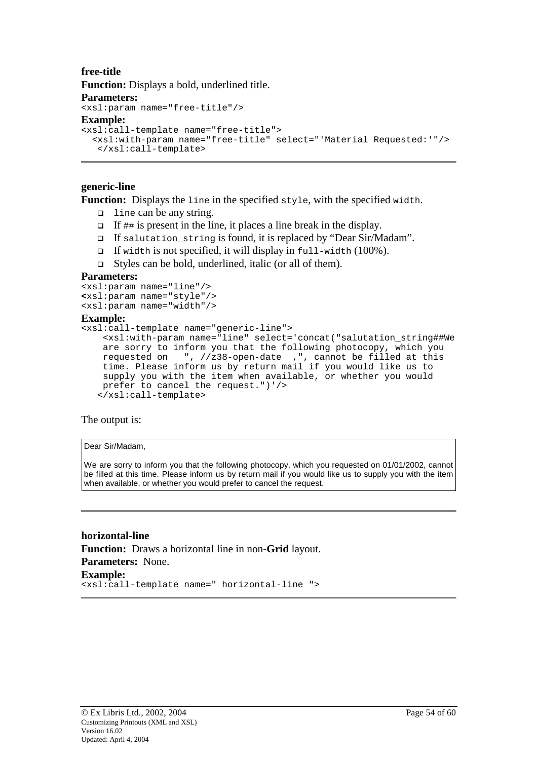#### **free-title Function:** Displays a bold, underlined title. **Parameters:**  <xsl:param name="free-title"/> **Example:**  <xsl:call-template name="free-title"> <xsl:with-param name="free-title" select="'Material Requested:'"/> </xsl:call-template>

#### **generic-line**

**Function:** Displays the line in the specified style, with the specified width.

- $\Box$  line can be any string.
- $\Box$  If ## is present in the line, it places a line break in the display.
- If salutation\_string is found, it is replaced by "Dear Sir/Madam".
- $\Box$  If width is not specified, it will display in full-width (100%).
- $\Box$  Styles can be bold, underlined, italic (or all of them).

#### **Parameters:**

```
<xsl:param name="line"/>
<xsl:param name="style"/>
<xsl:param name="width"/>
```
#### **Example:**

```
<xsl:call-template name="generic-line">
   <xsl:with-param name="line" select='concat("salutation_string##We
   are sorry to inform you that the following photocopy, which you
    requested on ", //z38-open-date ,", cannot be filled at this
    time. Please inform us by return mail if you would like us to
   supply you with the item when available, or whether you would
   prefer to cancel the request.")'/>
  </xsl:call-template>
```
The output is:

#### Dear Sir/Madam,

We are sorry to inform you that the following photocopy, which you requested on 01/01/2002, cannot be filled at this time. Please inform us by return mail if you would like us to supply you with the item when available, or whether you would prefer to cancel the request.

**horizontal-line Function:** Draws a horizontal line in non-**Grid** layout. **Parameters:** None. **Example:** <xsl:call-template name=" horizontal-line ">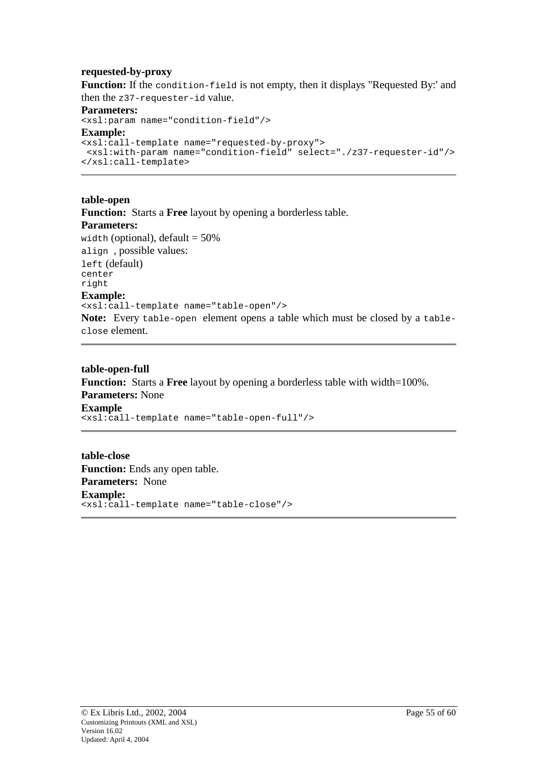#### **requested-by-proxy**

Function: If the condition-field is not empty, then it displays "Requested By:' and then the z37-requester-id value.

**Parameters:**  <xsl:param name="condition-field"/>

# **Example:**

```
<xsl:call-template name="requested-by-proxy">
<xsl:with-param name="condition-field" select="./z37-requester-id"/>
</xsl:call-template>
```
**table-open Function:** Starts a **Free** layout by opening a borderless table. **Parameters:**  width (optional),  $default = 50\%$ align , possible values: left (default) center right **Example:**  <xsl:call-template name="table-open"/> **Note:** Every table-open element opens a table which must be closed by a tableclose element.

**table-open-full Function:** Starts a **Free** layout by opening a borderless table with width=100%. **Parameters:** None **Example**  <xsl:call-template name="table-open-full"/>

**table-close Function:** Ends any open table. **Parameters:** None **Example:**  <xsl:call-template name="table-close"/>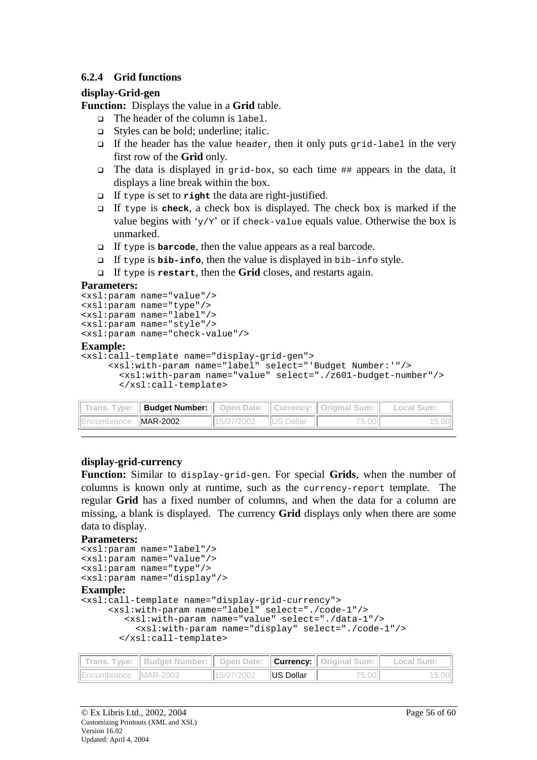#### <span id="page-55-0"></span>**6.2.4 Grid functions**

#### **display-Grid-gen**

**Function:** Displays the value in a **Grid** table.

- The header of the column is label.
- Styles can be bold; underline; italic.
- If the header has the value header, then it only puts grid-label in the very first row of the **Grid** only.
- The data is displayed in grid-box, so each time  $\#$  appears in the data, it displays a line break within the box.
- If type is set to **right** the data are right-justified.
- If type is **check**, a check box is displayed. The check box is marked if the value begins with ' $y/y'$ ' or if check-value equals value. Otherwise the box is unmarked.
- If type is **barcode**, then the value appears as a real barcode.
- If type is **bib-info**, then the value is displayed in bib-info style.
- If type is **restart**, then the **Grid** closes, and restarts again.

#### **Parameters:**

```
<xsl:param name="value"/>
<xsl:param name="type"/>
<xsl:param name="label"/>
<xsl:param name="style"/>
<xsl:param name="check-value"/>
```
#### **Example:**

```
<xsl:call-template name="display-grid-gen">
    <xsl:with-param name="label" select="'Budget Number:'"/>
      <xsl:with-param name="value" select="./z601-budget-number"/>
      </xsl:call-template>
```

|                             | Trans. Type:    Budget Number:    Open Date:    Currency:    Original Sum:    Local Sum: |                       |       |  |
|-----------------------------|------------------------------------------------------------------------------------------|-----------------------|-------|--|
| Encumbrance <b>MAR-2002</b> |                                                                                          | 15/07/2002  US Dollar | 75.00 |  |

#### **display-grid-currency**

**Function:** Similar to display-grid-gen. For special **Grids**, when the number of columns is known only at runtime, such as the currency-report template. The regular **Grid** has a fixed number of columns, and when the data for a column are missing, a blank is displayed. The currency **Grid** displays only when there are some data to display.

#### **Parameters:**

```
<xsl:param name="label"/>
<xsl:param name="value"/>
<xsl:param name="type"/>
<xsl:param name="display"/>
Example: 
<xsl:call-template name="display-grid-currency">
     <xsl:with-param name="label" select="./code-1"/>
        <xsl:with-param name="value" select="./data-1"/>
          <xsl:with-param name="display" select="./code-1"/>
       </xsl:call-template>
```

|                      | Trans. Type:    Budget Number:    Open Date:    Currency:    Original Sum:    Local Sum: |                              |       |  |
|----------------------|------------------------------------------------------------------------------------------|------------------------------|-------|--|
| Encumbrance MAR-2002 |                                                                                          | $  15/07/2002$ $  US$ Dollar | 75.00 |  |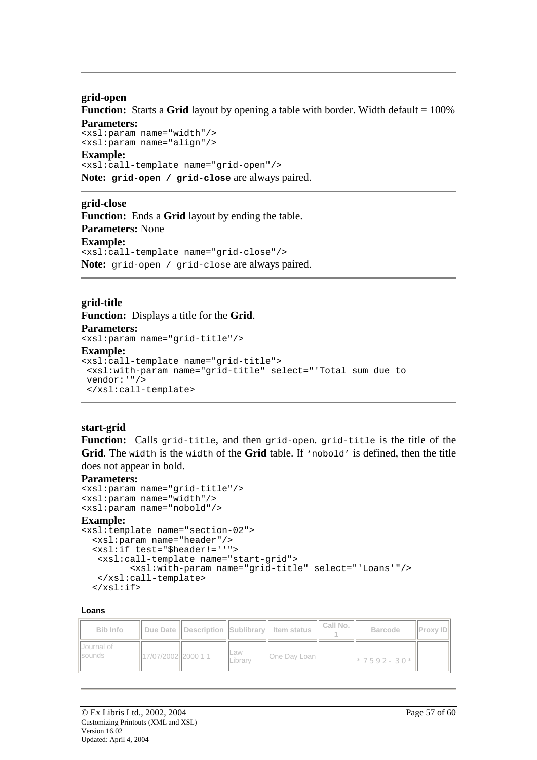#### **grid-open**

**Function:** Starts a Grid layout by opening a table with border. Width default = 100% **Parameters:** 

<xsl:param name="width"/> <xsl:param name="align"/>

#### **Example:**

<xsl:call-template name="grid-open"/> **Note: grid-open / grid-close** are always paired.

#### **grid-close**

**Function:** Ends a **Grid** layout by ending the table. **Parameters:** None **Example:** <xsl:call-template name="grid-close"/> **Note:** grid-open / grid-close are always paired.

#### **grid-title**

**Function:** Displays a title for the **Grid**. **Parameters:**  <xsl:param name="grid-title"/> **Example:** <xsl:call-template name="grid-title"> <xsl:with-param name="grid-title" select="'Total sum due to vendor:'"/> </xsl:call-template>

#### **start-grid**

**Function:** Calls grid-title, and then grid-open. grid-title is the title of the **Grid**. The width is the width of the **Grid** table. If 'nobold' is defined, then the title does not appear in bold.

#### **Parameters:**

```
<xsl:param name="grid-title"/>
<xsl:param name="width"/>
<xsl:param name="nobold"/>
```
#### **Example:**

```
<xsl:template name="section-02">
 <xsl:param name="header"/>
 <xsl:if test="$header!=''">
   <xsl:call-template name="start-grid">
         <xsl:with-param name="grid-title" select="'Loans'"/>
   </xsl:call-template>
  \langle xsl:if>
```
#### **Loans**

| Bib Info               |                     |                | Due Date II Description ISublibrary I Item status | Call No. | <b>Barcode</b>    | <b>IProxy IDI</b> |
|------------------------|---------------------|----------------|---------------------------------------------------|----------|-------------------|-------------------|
| IlJournal of<br>sounds | 17/07/2002 2000 1 1 | Law<br>Library | <b>IOne Day LoanII</b>                            |          | $  *7592 - 30*  $ |                   |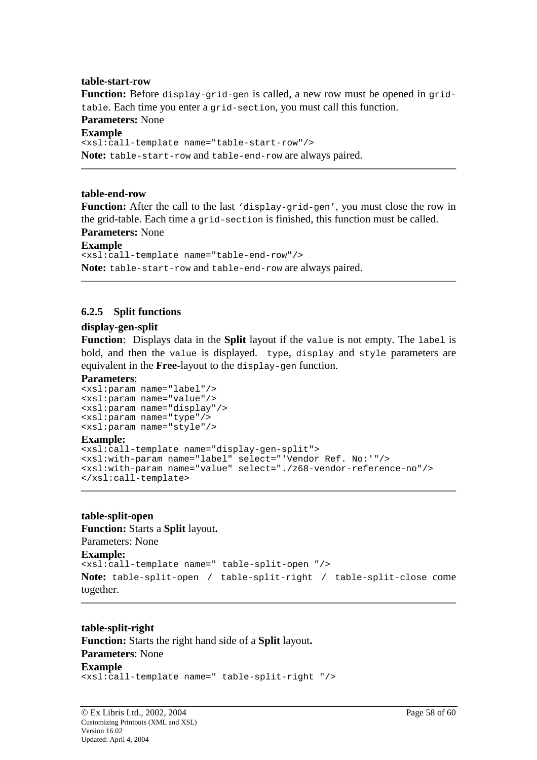#### <span id="page-57-0"></span>**table-start-row**

**Function:** Before display-grid-gen is called, a new row must be opened in gridtable. Each time you enter a grid-section, you must call this function. **Parameters:** None **Example** <xsl:call-template name="table-start-row"/> **Note:** table-start-row and table-end-row are always paired.

#### **table-end-row**

**Function:** After the call to the last 'display-grid-gen', you must close the row in the grid-table. Each time a grid-section is finished, this function must be called. **Parameters:** None

```
Example
<xsl:call-template name="table-end-row"/>
Note: table-start-row and table-end-row are always paired.
```
### **6.2.5 Split functions**

#### **display-gen-split**

**Function**: Displays data in the **Split** layout if the value is not empty. The label is bold, and then the value is displayed. type, display and style parameters are equivalent in the **Free**-layout to the display-gen function.

#### **Parameters**:

```
<xsl:param name="label"/>
<xsl:param name="value"/>
<xsl:param name="display"/>
<xsl:param name="type"/>
<xsl:param name="style"/>
```
#### **Example:**

```
<xsl:call-template name="display-gen-split">
<xsl:with-param name="label" select="'Vendor Ref. No:'"/>
<xsl:with-param name="value" select="./z68-vendor-reference-no"/>
</xsl:call-template>
```
#### **table-split-open**

```
Function: Starts a Split layout.
Parameters: None 
Example: 
<xsl:call-template name=" table-split-open "/>
Note: table-split-open / table-split-right / table-split-close come 
together.
```
**table-split-right Function:** Starts the right hand side of a **Split** layout**. Parameters**: None **Example** <xsl:call-template name=" table-split-right "/>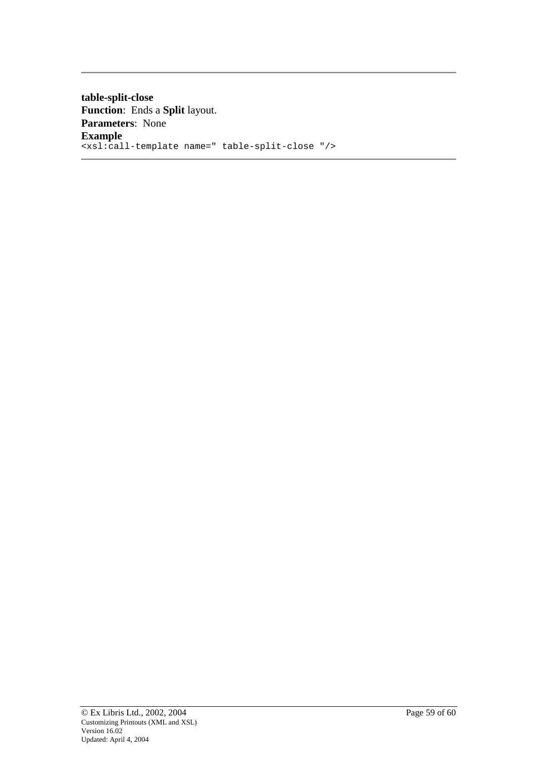**table-split-close Function**: Ends a **Split** layout. **Parameters**: None **Example** <xsl:call-template name=" table-split-close "/>